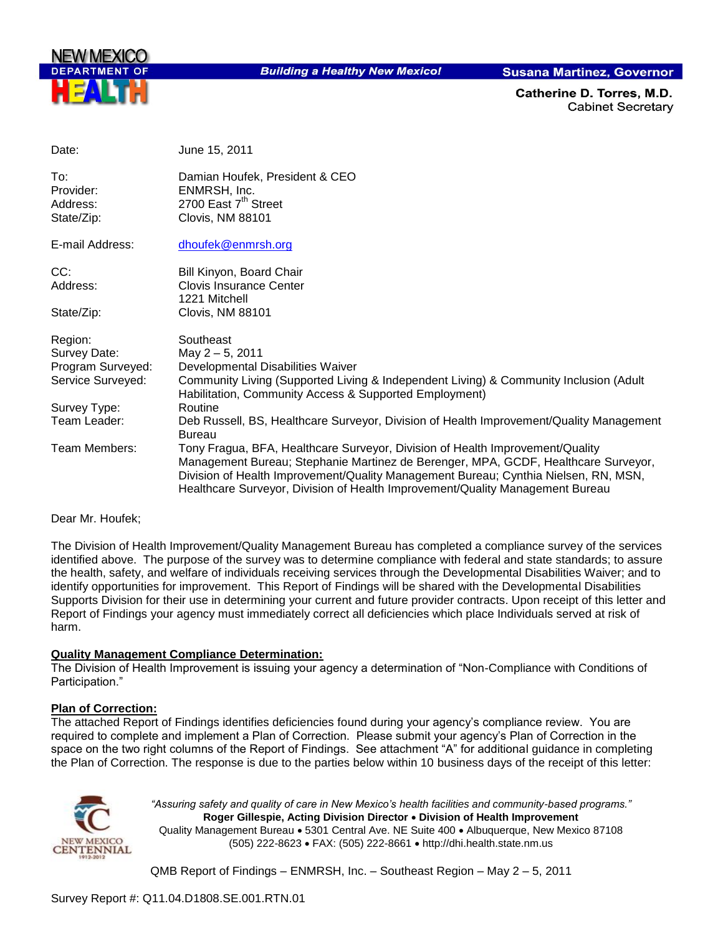

**Building a Healthy New Mexico!** 

**Susana Martinez, Governor** 

Catherine D. Torres. M.D. **Cabinet Secretary** 

| Date:                                                             | June 15, 2011                                                                                                                                                                                                                                                                                                                               |
|-------------------------------------------------------------------|---------------------------------------------------------------------------------------------------------------------------------------------------------------------------------------------------------------------------------------------------------------------------------------------------------------------------------------------|
| To:<br>Provider:<br>Address:<br>State/Zip:                        | Damian Houfek, President & CEO<br>ENMRSH, Inc.<br>2700 East 7 <sup>th</sup> Street<br>Clovis, NM 88101                                                                                                                                                                                                                                      |
| E-mail Address:                                                   | dhoufek@enmrsh.org                                                                                                                                                                                                                                                                                                                          |
| CC:<br>Address:                                                   | Bill Kinyon, Board Chair<br><b>Clovis Insurance Center</b><br>1221 Mitchell                                                                                                                                                                                                                                                                 |
| State/Zip:                                                        | Clovis, NM 88101                                                                                                                                                                                                                                                                                                                            |
| Region:<br>Survey Date:<br>Program Surveyed:<br>Service Surveyed: | Southeast<br>May 2 - 5, 2011<br>Developmental Disabilities Waiver<br>Community Living (Supported Living & Independent Living) & Community Inclusion (Adult<br>Habilitation, Community Access & Supported Employment)                                                                                                                        |
| Survey Type:                                                      | Routine                                                                                                                                                                                                                                                                                                                                     |
| Team Leader:                                                      | Deb Russell, BS, Healthcare Surveyor, Division of Health Improvement/Quality Management<br><b>Bureau</b>                                                                                                                                                                                                                                    |
| Team Members:                                                     | Tony Fragua, BFA, Healthcare Surveyor, Division of Health Improvement/Quality<br>Management Bureau; Stephanie Martinez de Berenger, MPA, GCDF, Healthcare Surveyor,<br>Division of Health Improvement/Quality Management Bureau; Cynthia Nielsen, RN, MSN,<br>Healthcare Surveyor, Division of Health Improvement/Quality Management Bureau |

#### Dear Mr. Houfek;

The Division of Health Improvement/Quality Management Bureau has completed a compliance survey of the services identified above. The purpose of the survey was to determine compliance with federal and state standards; to assure the health, safety, and welfare of individuals receiving services through the Developmental Disabilities Waiver; and to identify opportunities for improvement. This Report of Findings will be shared with the Developmental Disabilities Supports Division for their use in determining your current and future provider contracts. Upon receipt of this letter and Report of Findings your agency must immediately correct all deficiencies which place Individuals served at risk of harm.

#### **Quality Management Compliance Determination:**

The Division of Health Improvement is issuing your agency a determination of "Non-Compliance with Conditions of Participation."

## **Plan of Correction:**

The attached Report of Findings identifies deficiencies found during your agency"s compliance review. You are required to complete and implement a Plan of Correction. Please submit your agency"s Plan of Correction in the space on the two right columns of the Report of Findings. See attachment "A" for additional guidance in completing the Plan of Correction. The response is due to the parties below within 10 business days of the receipt of this letter:



*"Assuring safety and quality of care in New Mexico's health facilities and community-based programs."* **Roger Gillespie, Acting Division Director Division of Health Improvement**  Quality Management Bureau • 5301 Central Ave. NE Suite 400 • Albuquerque, New Mexico 87108 (505) 222-8623 FAX: (505) 222-8661 http://dhi.health.state.nm.us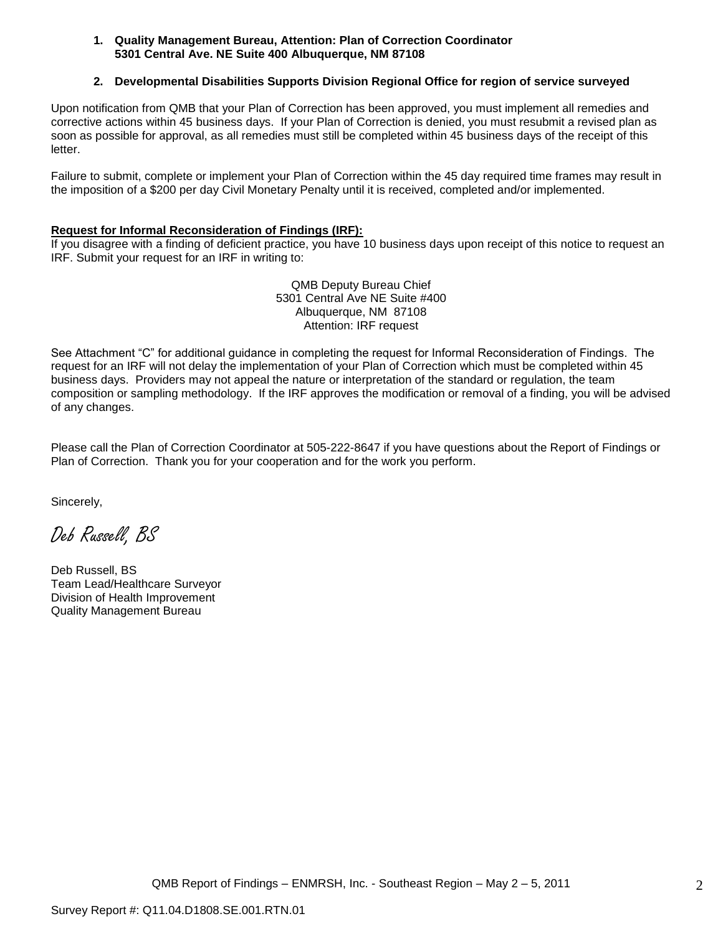#### **1. Quality Management Bureau, Attention: Plan of Correction Coordinator 5301 Central Ave. NE Suite 400 Albuquerque, NM 87108**

## **2. Developmental Disabilities Supports Division Regional Office for region of service surveyed**

Upon notification from QMB that your Plan of Correction has been approved, you must implement all remedies and corrective actions within 45 business days. If your Plan of Correction is denied, you must resubmit a revised plan as soon as possible for approval, as all remedies must still be completed within 45 business days of the receipt of this letter.

Failure to submit, complete or implement your Plan of Correction within the 45 day required time frames may result in the imposition of a \$200 per day Civil Monetary Penalty until it is received, completed and/or implemented.

### **Request for Informal Reconsideration of Findings (IRF):**

If you disagree with a finding of deficient practice, you have 10 business days upon receipt of this notice to request an IRF. Submit your request for an IRF in writing to:

> QMB Deputy Bureau Chief 5301 Central Ave NE Suite #400 Albuquerque, NM 87108 Attention: IRF request

See Attachment "C" for additional guidance in completing the request for Informal Reconsideration of Findings. The request for an IRF will not delay the implementation of your Plan of Correction which must be completed within 45 business days. Providers may not appeal the nature or interpretation of the standard or regulation, the team composition or sampling methodology. If the IRF approves the modification or removal of a finding, you will be advised of any changes.

Please call the Plan of Correction Coordinator at 505-222-8647 if you have questions about the Report of Findings or Plan of Correction. Thank you for your cooperation and for the work you perform.

Sincerely,

Deb Russell, BS

Deb Russell, BS Team Lead/Healthcare Surveyor Division of Health Improvement Quality Management Bureau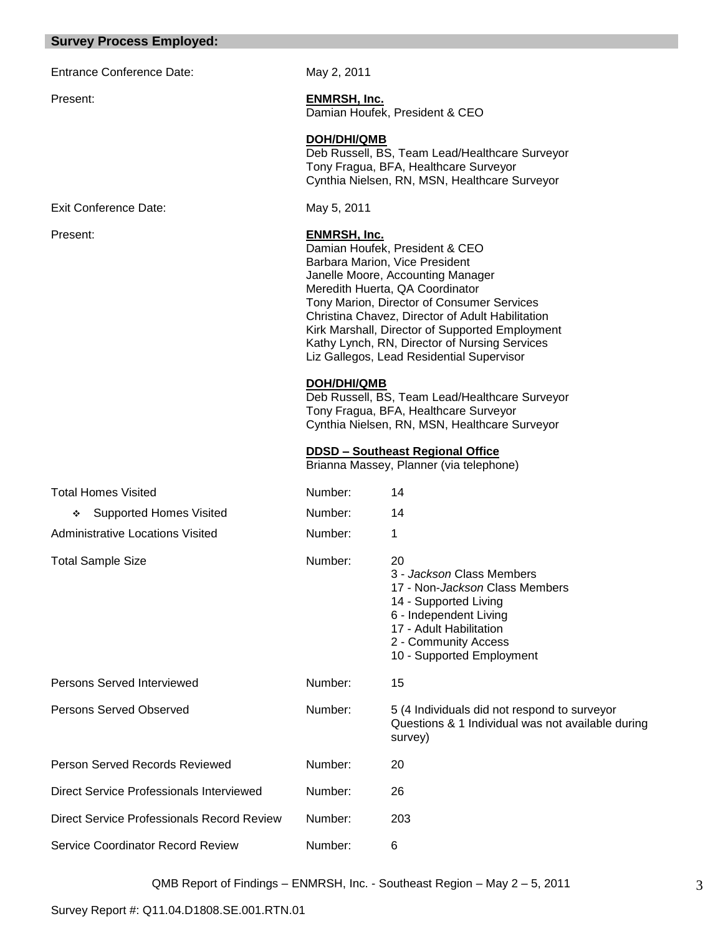### **Survey Process Employed:**

Entrance Conference Date: May 2, 2011

#### Exit Conference Date: May 5, 2011

Present: **ENMRSH, Inc.** Damian Houfek, President & CEO

#### **DOH/DHI/QMB**

Deb Russell, BS, Team Lead/Healthcare Surveyor Tony Fragua, BFA, Healthcare Surveyor Cynthia Nielsen, RN, MSN, Healthcare Surveyor

## Present: **ENMRSH, Inc.**

Damian Houfek, President & CEO Barbara Marion, Vice President Janelle Moore, Accounting Manager Meredith Huerta, QA Coordinator Tony Marion, Director of Consumer Services Christina Chavez, Director of Adult Habilitation Kirk Marshall, Director of Supported Employment Kathy Lynch, RN, Director of Nursing Services Liz Gallegos, Lead Residential Supervisor

#### **DOH/DHI/QMB**

Deb Russell, BS, Team Lead/Healthcare Surveyor Tony Fragua, BFA, Healthcare Surveyor Cynthia Nielsen, RN, MSN, Healthcare Surveyor

#### **DDSD – Southeast Regional Office**

Brianna Massey, Planner (via telephone)

| <b>Total Homes Visited</b>                 | Number: | 14                                                                                                                                                                                                           |
|--------------------------------------------|---------|--------------------------------------------------------------------------------------------------------------------------------------------------------------------------------------------------------------|
| <b>Supported Homes Visited</b><br>❖        | Number: | 14                                                                                                                                                                                                           |
| Administrative Locations Visited           | Number: | 1                                                                                                                                                                                                            |
| <b>Total Sample Size</b>                   | Number: | 20<br>3 - Jackson Class Members<br>17 - Non- <i>Jackson</i> Class Members<br>14 - Supported Living<br>6 - Independent Living<br>17 - Adult Habilitation<br>2 - Community Access<br>10 - Supported Employment |
| Persons Served Interviewed                 | Number: | 15                                                                                                                                                                                                           |
| Persons Served Observed                    | Number: | 5 (4 Individuals did not respond to surveyor<br>Questions & 1 Individual was not available during<br>survey)                                                                                                 |
| Person Served Records Reviewed             | Number: | 20                                                                                                                                                                                                           |
| Direct Service Professionals Interviewed   | Number: | 26                                                                                                                                                                                                           |
| Direct Service Professionals Record Review | Number: | 203                                                                                                                                                                                                          |
| Service Coordinator Record Review          | Number: | 6                                                                                                                                                                                                            |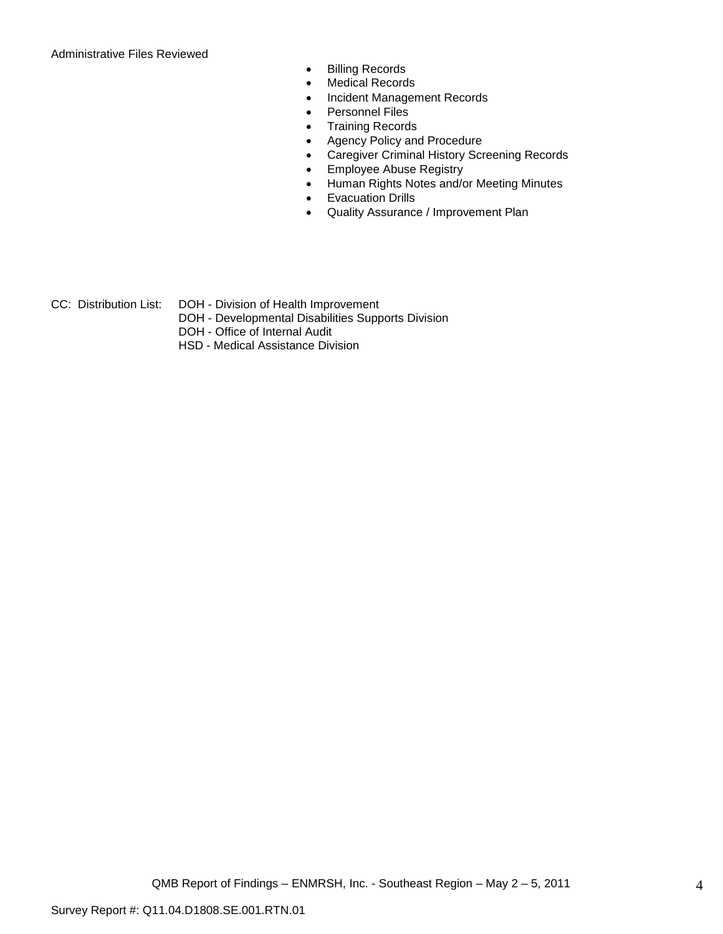Administrative Files Reviewed

- **•** Billing Records
- Medical Records
- Incident Management Records
- Personnel Files
- Training Records
- Agency Policy and Procedure
- Caregiver Criminal History Screening Records
- **Employee Abuse Registry**
- Human Rights Notes and/or Meeting Minutes
- Evacuation Drills
- Quality Assurance / Improvement Plan
- CC: Distribution List: DOH Division of Health Improvement
	- DOH Developmental Disabilities Supports Division
	- DOH Office of Internal Audit
	- HSD Medical Assistance Division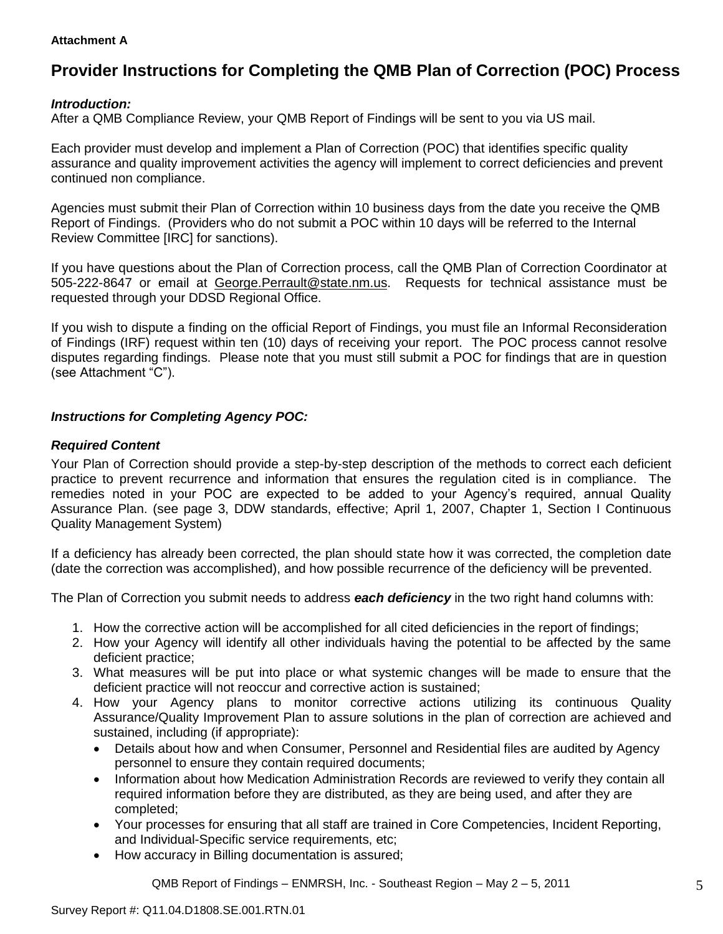## **Attachment A**

# **Provider Instructions for Completing the QMB Plan of Correction (POC) Process**

## *Introduction:*

After a QMB Compliance Review, your QMB Report of Findings will be sent to you via US mail.

Each provider must develop and implement a Plan of Correction (POC) that identifies specific quality assurance and quality improvement activities the agency will implement to correct deficiencies and prevent continued non compliance.

Agencies must submit their Plan of Correction within 10 business days from the date you receive the QMB Report of Findings. (Providers who do not submit a POC within 10 days will be referred to the Internal Review Committee [IRC] for sanctions).

If you have questions about the Plan of Correction process, call the QMB Plan of Correction Coordinator at 505-222-8647 or email at George.Perrault@state.nm.us. Requests for technical assistance must be requested through your DDSD Regional Office.

If you wish to dispute a finding on the official Report of Findings, you must file an Informal Reconsideration of Findings (IRF) request within ten (10) days of receiving your report. The POC process cannot resolve disputes regarding findings. Please note that you must still submit a POC for findings that are in question (see Attachment "C").

## *Instructions for Completing Agency POC:*

## *Required Content*

Your Plan of Correction should provide a step-by-step description of the methods to correct each deficient practice to prevent recurrence and information that ensures the regulation cited is in compliance. The remedies noted in your POC are expected to be added to your Agency"s required, annual Quality Assurance Plan. (see page 3, DDW standards, effective; April 1, 2007, Chapter 1, Section I Continuous Quality Management System)

If a deficiency has already been corrected, the plan should state how it was corrected, the completion date (date the correction was accomplished), and how possible recurrence of the deficiency will be prevented.

The Plan of Correction you submit needs to address *each deficiency* in the two right hand columns with:

- 1. How the corrective action will be accomplished for all cited deficiencies in the report of findings;
- 2. How your Agency will identify all other individuals having the potential to be affected by the same deficient practice;
- 3. What measures will be put into place or what systemic changes will be made to ensure that the deficient practice will not reoccur and corrective action is sustained;
- 4. How your Agency plans to monitor corrective actions utilizing its continuous Quality Assurance/Quality Improvement Plan to assure solutions in the plan of correction are achieved and sustained, including (if appropriate):
	- Details about how and when Consumer, Personnel and Residential files are audited by Agency personnel to ensure they contain required documents;
	- Information about how Medication Administration Records are reviewed to verify they contain all required information before they are distributed, as they are being used, and after they are completed;
	- Your processes for ensuring that all staff are trained in Core Competencies, Incident Reporting, and Individual-Specific service requirements, etc;
	- How accuracy in Billing documentation is assured;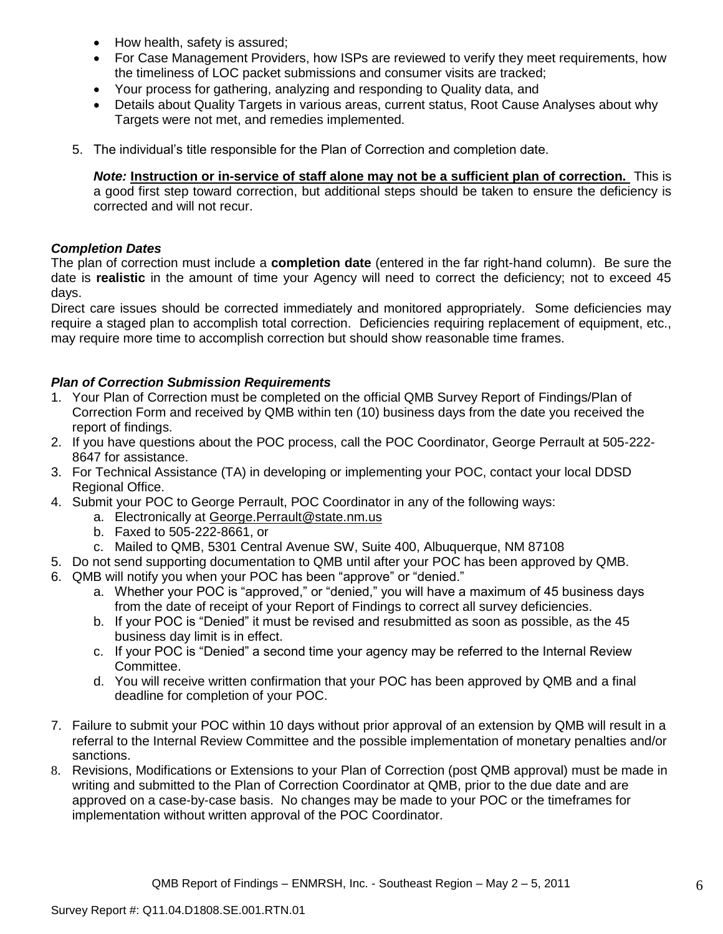- How health, safety is assured;
- For Case Management Providers, how ISPs are reviewed to verify they meet requirements, how the timeliness of LOC packet submissions and consumer visits are tracked;
- Your process for gathering, analyzing and responding to Quality data, and
- Details about Quality Targets in various areas, current status, Root Cause Analyses about why Targets were not met, and remedies implemented.
- 5. The individual"s title responsible for the Plan of Correction and completion date.

*Note:* **Instruction or in-service of staff alone may not be a sufficient plan of correction.** This is a good first step toward correction, but additional steps should be taken to ensure the deficiency is corrected and will not recur.

## *Completion Dates*

The plan of correction must include a **completion date** (entered in the far right-hand column). Be sure the date is **realistic** in the amount of time your Agency will need to correct the deficiency; not to exceed 45 days.

Direct care issues should be corrected immediately and monitored appropriately. Some deficiencies may require a staged plan to accomplish total correction. Deficiencies requiring replacement of equipment, etc., may require more time to accomplish correction but should show reasonable time frames.

## *Plan of Correction Submission Requirements*

- 1. Your Plan of Correction must be completed on the official QMB Survey Report of Findings/Plan of Correction Form and received by QMB within ten (10) business days from the date you received the report of findings.
- 2. If you have questions about the POC process, call the POC Coordinator, George Perrault at 505-222- 8647 for assistance.
- 3. For Technical Assistance (TA) in developing or implementing your POC, contact your local DDSD Regional Office.
- 4. Submit your POC to George Perrault, POC Coordinator in any of the following ways:
	- a. Electronically at [George.Perrault@state.nm.us](mailto:George.Perrault@state.nm.us)
	- b. Faxed to 505-222-8661, or
	- c. Mailed to QMB, 5301 Central Avenue SW, Suite 400, Albuquerque, NM 87108
- 5. Do not send supporting documentation to QMB until after your POC has been approved by QMB.
- 6. QMB will notify you when your POC has been "approve" or "denied."
	- a. Whether your POC is "approved," or "denied," you will have a maximum of 45 business days from the date of receipt of your Report of Findings to correct all survey deficiencies.
	- b. If your POC is "Denied" it must be revised and resubmitted as soon as possible, as the 45 business day limit is in effect.
	- c. If your POC is "Denied" a second time your agency may be referred to the Internal Review Committee.
	- d. You will receive written confirmation that your POC has been approved by QMB and a final deadline for completion of your POC.
- 7. Failure to submit your POC within 10 days without prior approval of an extension by QMB will result in a referral to the Internal Review Committee and the possible implementation of monetary penalties and/or sanctions.
- 8. Revisions, Modifications or Extensions to your Plan of Correction (post QMB approval) must be made in writing and submitted to the Plan of Correction Coordinator at QMB, prior to the due date and are approved on a case-by-case basis. No changes may be made to your POC or the timeframes for implementation without written approval of the POC Coordinator.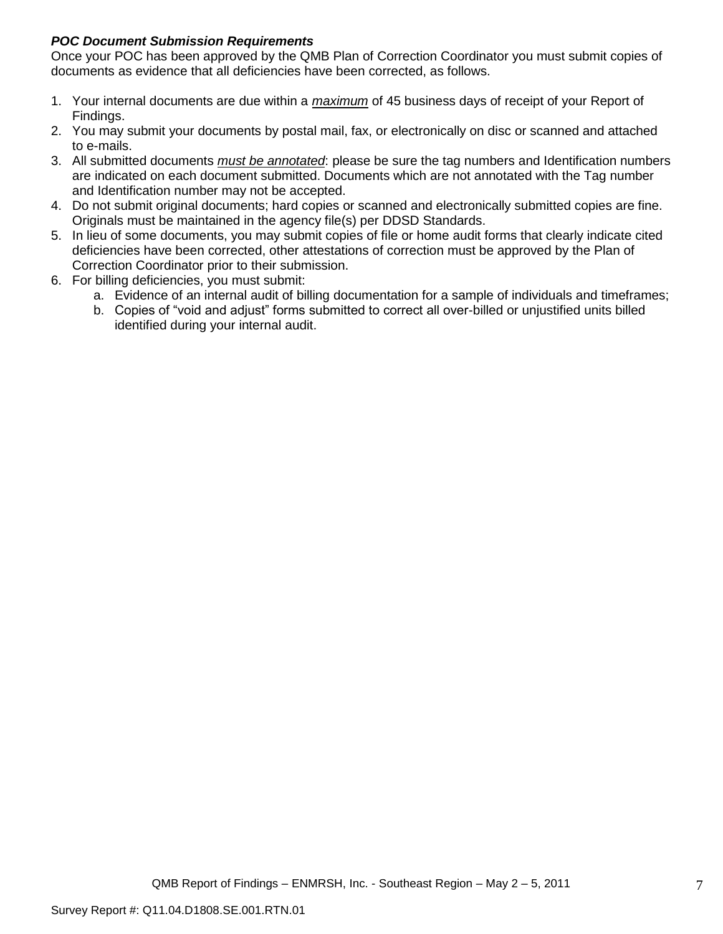## *POC Document Submission Requirements*

Once your POC has been approved by the QMB Plan of Correction Coordinator you must submit copies of documents as evidence that all deficiencies have been corrected, as follows.

- 1. Your internal documents are due within a *maximum* of 45 business days of receipt of your Report of Findings.
- 2. You may submit your documents by postal mail, fax, or electronically on disc or scanned and attached to e-mails.
- 3. All submitted documents *must be annotated*: please be sure the tag numbers and Identification numbers are indicated on each document submitted. Documents which are not annotated with the Tag number and Identification number may not be accepted.
- 4. Do not submit original documents; hard copies or scanned and electronically submitted copies are fine. Originals must be maintained in the agency file(s) per DDSD Standards.
- 5. In lieu of some documents, you may submit copies of file or home audit forms that clearly indicate cited deficiencies have been corrected, other attestations of correction must be approved by the Plan of Correction Coordinator prior to their submission.
- 6. For billing deficiencies, you must submit:
	- a. Evidence of an internal audit of billing documentation for a sample of individuals and timeframes;
	- b. Copies of "void and adjust" forms submitted to correct all over-billed or unjustified units billed identified during your internal audit.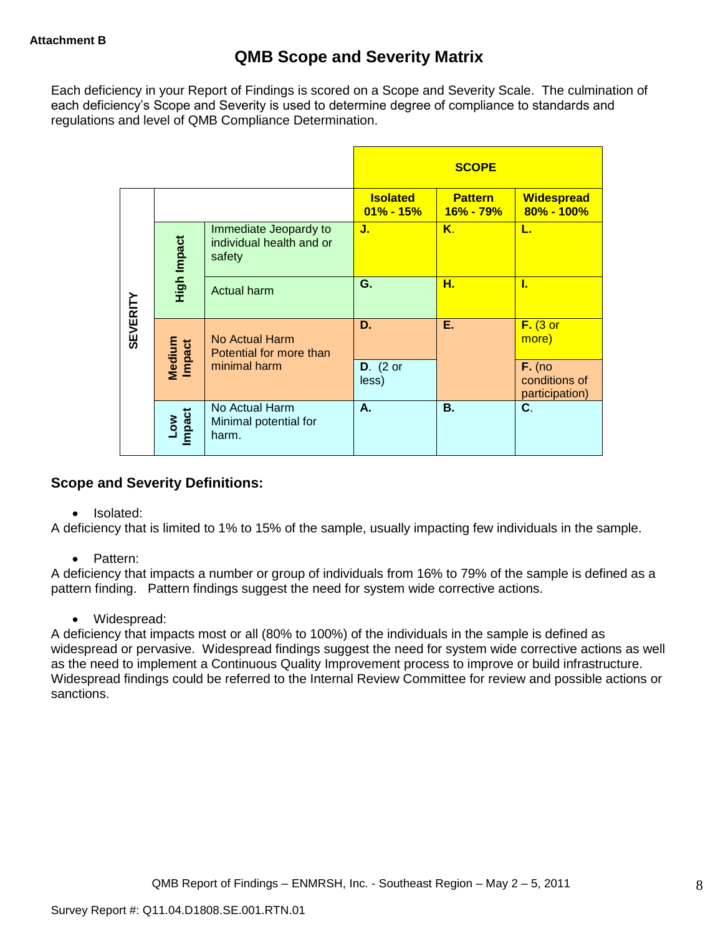Each deficiency in your Report of Findings is scored on a Scope and Severity Scale. The culmination of each deficiency"s Scope and Severity is used to determine degree of compliance to standards and regulations and level of QMB Compliance Determination.

|                 |                      |                                                             |                                 | <b>SCOPE</b>                |                                             |
|-----------------|----------------------|-------------------------------------------------------------|---------------------------------|-----------------------------|---------------------------------------------|
|                 |                      |                                                             | <b>Isolated</b><br>$01\%$ - 15% | <b>Pattern</b><br>16% - 79% | <b>Widespread</b><br>80% - 100%             |
|                 | High Impact          | Immediate Jeopardy to<br>individual health and or<br>safety | J.                              | Κ.                          | L.                                          |
|                 |                      | Actual harm                                                 | G.                              | н.                          | L                                           |
| <b>SEVERITY</b> | Medium<br>Impact     | <b>No Actual Harm</b><br>Potential for more than            | D.                              | Ε.                          | $F.$ (3 or<br>more)                         |
|                 |                      | minimal harm                                                | $D.$ (2 or<br>less)             |                             | $F.$ (no<br>conditions of<br>participation) |
|                 | <b>Impact</b><br>Low | No Actual Harm<br>Minimal potential for<br>harm.            | А.                              | <b>B.</b>                   | C.                                          |

## **Scope and Severity Definitions:**

• Isolated:

A deficiency that is limited to 1% to 15% of the sample, usually impacting few individuals in the sample.

• Pattern:

A deficiency that impacts a number or group of individuals from 16% to 79% of the sample is defined as a pattern finding. Pattern findings suggest the need for system wide corrective actions.

• Widespread:

A deficiency that impacts most or all (80% to 100%) of the individuals in the sample is defined as widespread or pervasive. Widespread findings suggest the need for system wide corrective actions as well as the need to implement a Continuous Quality Improvement process to improve or build infrastructure. Widespread findings could be referred to the Internal Review Committee for review and possible actions or sanctions.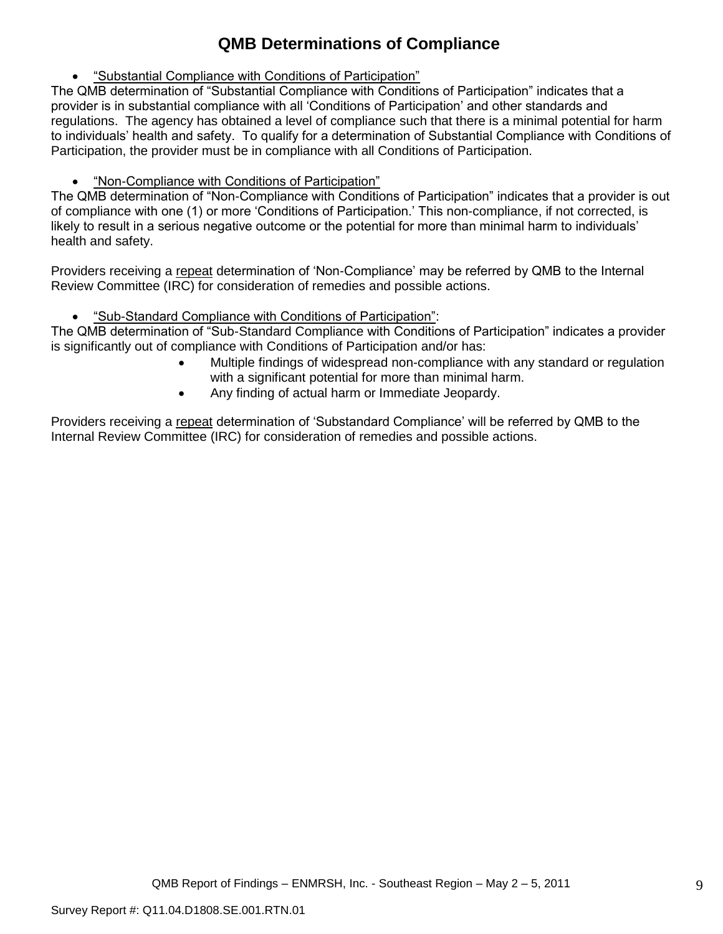# **QMB Determinations of Compliance**

"Substantial Compliance with Conditions of Participation"

The QMB determination of "Substantial Compliance with Conditions of Participation" indicates that a provider is in substantial compliance with all "Conditions of Participation" and other standards and regulations. The agency has obtained a level of compliance such that there is a minimal potential for harm to individuals" health and safety. To qualify for a determination of Substantial Compliance with Conditions of Participation, the provider must be in compliance with all Conditions of Participation.

"Non-Compliance with Conditions of Participation"

The QMB determination of "Non-Compliance with Conditions of Participation" indicates that a provider is out of compliance with one (1) or more "Conditions of Participation." This non-compliance, if not corrected, is likely to result in a serious negative outcome or the potential for more than minimal harm to individuals" health and safety.

Providers receiving a repeat determination of 'Non-Compliance' may be referred by QMB to the Internal Review Committee (IRC) for consideration of remedies and possible actions.

"Sub-Standard Compliance with Conditions of Participation":

The QMB determination of "Sub-Standard Compliance with Conditions of Participation" indicates a provider is significantly out of compliance with Conditions of Participation and/or has:

- Multiple findings of widespread non-compliance with any standard or regulation with a significant potential for more than minimal harm.
- Any finding of actual harm or Immediate Jeopardy.

Providers receiving a repeat determination of 'Substandard Compliance' will be referred by QMB to the Internal Review Committee (IRC) for consideration of remedies and possible actions.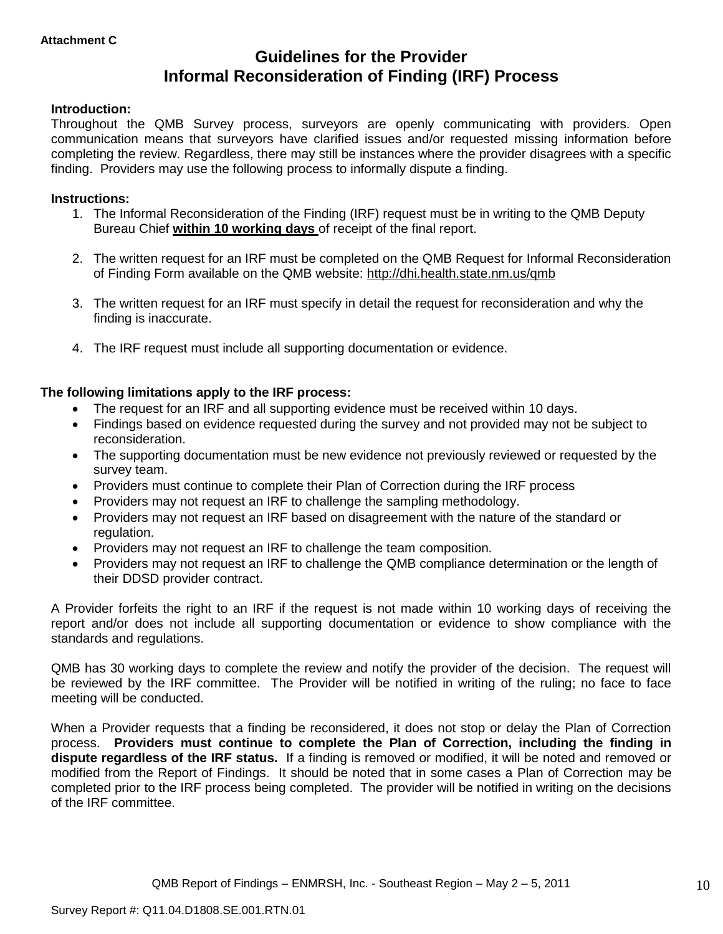## **Guidelines for the Provider Informal Reconsideration of Finding (IRF) Process**

## **Introduction:**

Throughout the QMB Survey process, surveyors are openly communicating with providers. Open communication means that surveyors have clarified issues and/or requested missing information before completing the review. Regardless, there may still be instances where the provider disagrees with a specific finding. Providers may use the following process to informally dispute a finding.

### **Instructions:**

- 1. The Informal Reconsideration of the Finding (IRF) request must be in writing to the QMB Deputy Bureau Chief **within 10 working days** of receipt of the final report.
- 2. The written request for an IRF must be completed on the QMB Request for Informal Reconsideration of Finding Form available on the QMB website:<http://dhi.health.state.nm.us/qmb>
- 3. The written request for an IRF must specify in detail the request for reconsideration and why the finding is inaccurate.
- 4. The IRF request must include all supporting documentation or evidence.

## **The following limitations apply to the IRF process:**

- The request for an IRF and all supporting evidence must be received within 10 days.
- Findings based on evidence requested during the survey and not provided may not be subject to reconsideration.
- The supporting documentation must be new evidence not previously reviewed or requested by the survey team.
- Providers must continue to complete their Plan of Correction during the IRF process
- Providers may not request an IRF to challenge the sampling methodology.
- Providers may not request an IRF based on disagreement with the nature of the standard or regulation.
- Providers may not request an IRF to challenge the team composition.
- Providers may not request an IRF to challenge the QMB compliance determination or the length of their DDSD provider contract.

A Provider forfeits the right to an IRF if the request is not made within 10 working days of receiving the report and/or does not include all supporting documentation or evidence to show compliance with the standards and regulations.

QMB has 30 working days to complete the review and notify the provider of the decision. The request will be reviewed by the IRF committee. The Provider will be notified in writing of the ruling; no face to face meeting will be conducted.

When a Provider requests that a finding be reconsidered, it does not stop or delay the Plan of Correction process. **Providers must continue to complete the Plan of Correction, including the finding in dispute regardless of the IRF status.** If a finding is removed or modified, it will be noted and removed or modified from the Report of Findings. It should be noted that in some cases a Plan of Correction may be completed prior to the IRF process being completed. The provider will be notified in writing on the decisions of the IRF committee.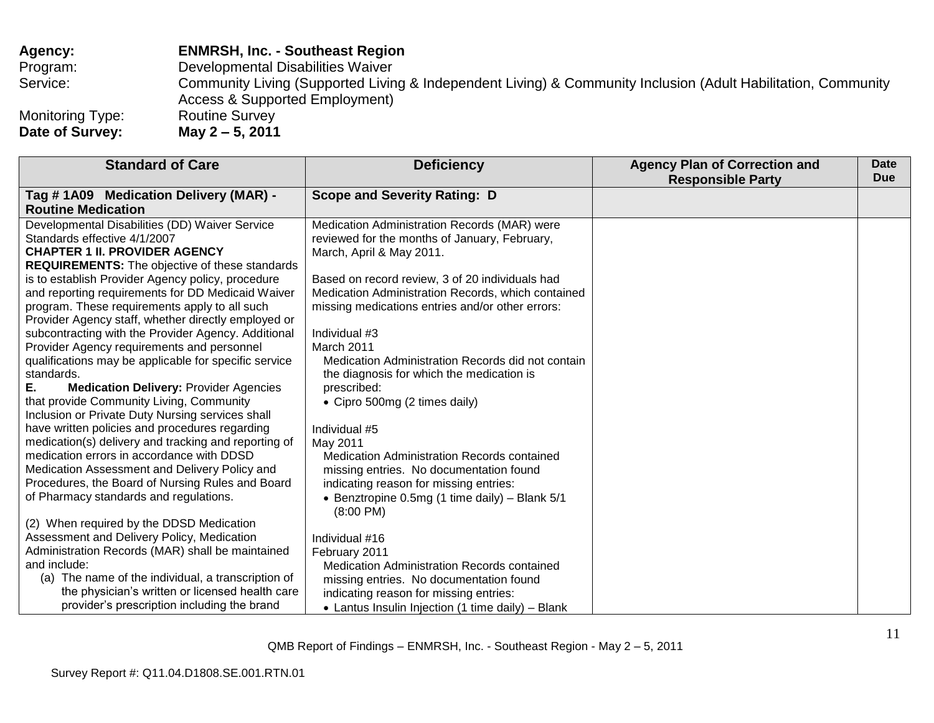## **Agency: ENMRSH, Inc. - Southeast Region** Program: Developmental Disabilities Waiver Service: **Community Living (Supported Living & Independent Living) & Community Inclusion (Adult Habilitation, Community Inclusion (Adult Habilitation, Community** Access & Supported Employment) Monitoring Type: Routine Survey<br>Date of Survey: May 2 - 5, 2011 **Date of Survey:**

| <b>Standard of Care</b>                               | <b>Deficiency</b>                                                                      | <b>Agency Plan of Correction and</b><br><b>Responsible Party</b> | <b>Date</b><br><b>Due</b> |
|-------------------------------------------------------|----------------------------------------------------------------------------------------|------------------------------------------------------------------|---------------------------|
| Tag #1A09 Medication Delivery (MAR) -                 | <b>Scope and Severity Rating: D</b>                                                    |                                                                  |                           |
| <b>Routine Medication</b>                             |                                                                                        |                                                                  |                           |
| Developmental Disabilities (DD) Waiver Service        | Medication Administration Records (MAR) were                                           |                                                                  |                           |
| Standards effective 4/1/2007                          | reviewed for the months of January, February,                                          |                                                                  |                           |
| <b>CHAPTER 1 II. PROVIDER AGENCY</b>                  | March, April & May 2011.                                                               |                                                                  |                           |
| <b>REQUIREMENTS:</b> The objective of these standards |                                                                                        |                                                                  |                           |
| is to establish Provider Agency policy, procedure     | Based on record review, 3 of 20 individuals had                                        |                                                                  |                           |
| and reporting requirements for DD Medicaid Waiver     | Medication Administration Records, which contained                                     |                                                                  |                           |
| program. These requirements apply to all such         | missing medications entries and/or other errors:                                       |                                                                  |                           |
| Provider Agency staff, whether directly employed or   |                                                                                        |                                                                  |                           |
| subcontracting with the Provider Agency. Additional   | Individual #3                                                                          |                                                                  |                           |
| Provider Agency requirements and personnel            | March 2011                                                                             |                                                                  |                           |
| qualifications may be applicable for specific service | Medication Administration Records did not contain                                      |                                                                  |                           |
| standards.                                            | the diagnosis for which the medication is                                              |                                                                  |                           |
| Е.<br><b>Medication Delivery: Provider Agencies</b>   | prescribed:                                                                            |                                                                  |                           |
| that provide Community Living, Community              | • Cipro 500mg (2 times daily)                                                          |                                                                  |                           |
| Inclusion or Private Duty Nursing services shall      |                                                                                        |                                                                  |                           |
| have written policies and procedures regarding        | Individual #5                                                                          |                                                                  |                           |
| medication(s) delivery and tracking and reporting of  | May 2011                                                                               |                                                                  |                           |
| medication errors in accordance with DDSD             | Medication Administration Records contained                                            |                                                                  |                           |
| Medication Assessment and Delivery Policy and         | missing entries. No documentation found                                                |                                                                  |                           |
| Procedures, the Board of Nursing Rules and Board      | indicating reason for missing entries:                                                 |                                                                  |                           |
| of Pharmacy standards and regulations.                | • Benztropine 0.5mg (1 time daily) $-$ Blank 5/1                                       |                                                                  |                           |
| (2) When required by the DDSD Medication              | $(8:00 \text{ PM})$                                                                    |                                                                  |                           |
| Assessment and Delivery Policy, Medication            |                                                                                        |                                                                  |                           |
| Administration Records (MAR) shall be maintained      | Individual #16                                                                         |                                                                  |                           |
| and include:                                          | February 2011                                                                          |                                                                  |                           |
| (a) The name of the individual, a transcription of    | Medication Administration Records contained<br>missing entries. No documentation found |                                                                  |                           |
| the physician's written or licensed health care       | indicating reason for missing entries:                                                 |                                                                  |                           |
| provider's prescription including the brand           |                                                                                        |                                                                  |                           |
|                                                       | • Lantus Insulin Injection (1 time daily) - Blank                                      |                                                                  |                           |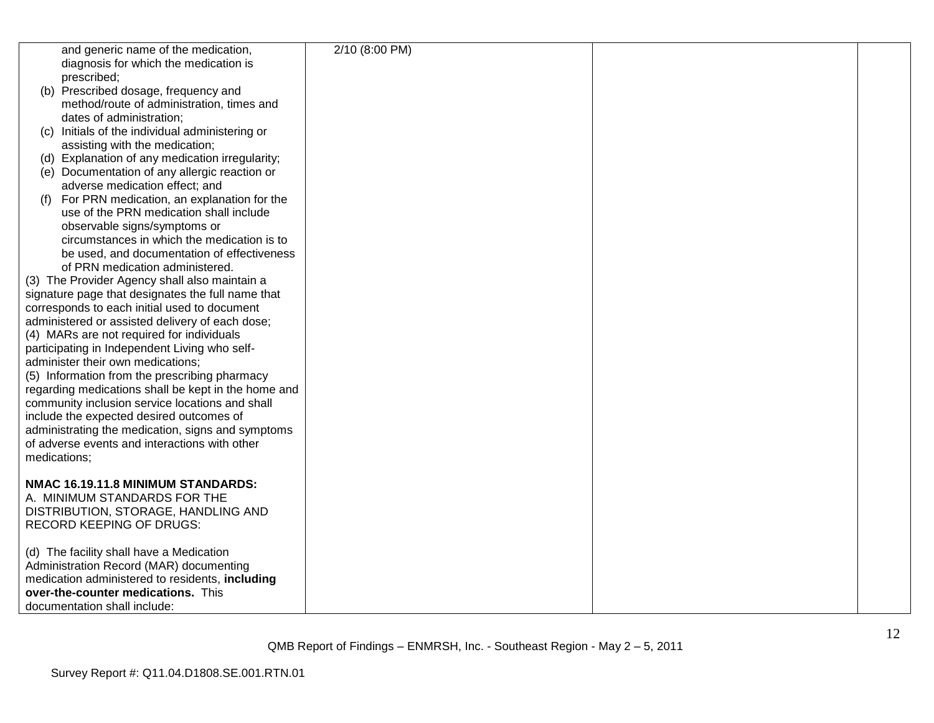| and generic name of the medication,                 | 2/10 (8:00 PM) |  |
|-----------------------------------------------------|----------------|--|
| diagnosis for which the medication is               |                |  |
| prescribed;                                         |                |  |
| (b) Prescribed dosage, frequency and                |                |  |
|                                                     |                |  |
| method/route of administration, times and           |                |  |
| dates of administration;                            |                |  |
| (c) Initials of the individual administering or     |                |  |
| assisting with the medication;                      |                |  |
| (d) Explanation of any medication irregularity;     |                |  |
| (e) Documentation of any allergic reaction or       |                |  |
| adverse medication effect; and                      |                |  |
| (f) For PRN medication, an explanation for the      |                |  |
| use of the PRN medication shall include             |                |  |
| observable signs/symptoms or                        |                |  |
| circumstances in which the medication is to         |                |  |
| be used, and documentation of effectiveness         |                |  |
| of PRN medication administered.                     |                |  |
| (3) The Provider Agency shall also maintain a       |                |  |
| signature page that designates the full name that   |                |  |
| corresponds to each initial used to document        |                |  |
| administered or assisted delivery of each dose;     |                |  |
|                                                     |                |  |
| (4) MARs are not required for individuals           |                |  |
| participating in Independent Living who self-       |                |  |
| administer their own medications;                   |                |  |
| (5) Information from the prescribing pharmacy       |                |  |
| regarding medications shall be kept in the home and |                |  |
| community inclusion service locations and shall     |                |  |
| include the expected desired outcomes of            |                |  |
| administrating the medication, signs and symptoms   |                |  |
| of adverse events and interactions with other       |                |  |
| medications;                                        |                |  |
|                                                     |                |  |
| NMAC 16.19.11.8 MINIMUM STANDARDS:                  |                |  |
| A. MINIMUM STANDARDS FOR THE                        |                |  |
| DISTRIBUTION, STORAGE, HANDLING AND                 |                |  |
| <b>RECORD KEEPING OF DRUGS:</b>                     |                |  |
|                                                     |                |  |
| (d) The facility shall have a Medication            |                |  |
| Administration Record (MAR) documenting             |                |  |
| medication administered to residents, including     |                |  |
| over-the-counter medications. This                  |                |  |
| documentation shall include:                        |                |  |
|                                                     |                |  |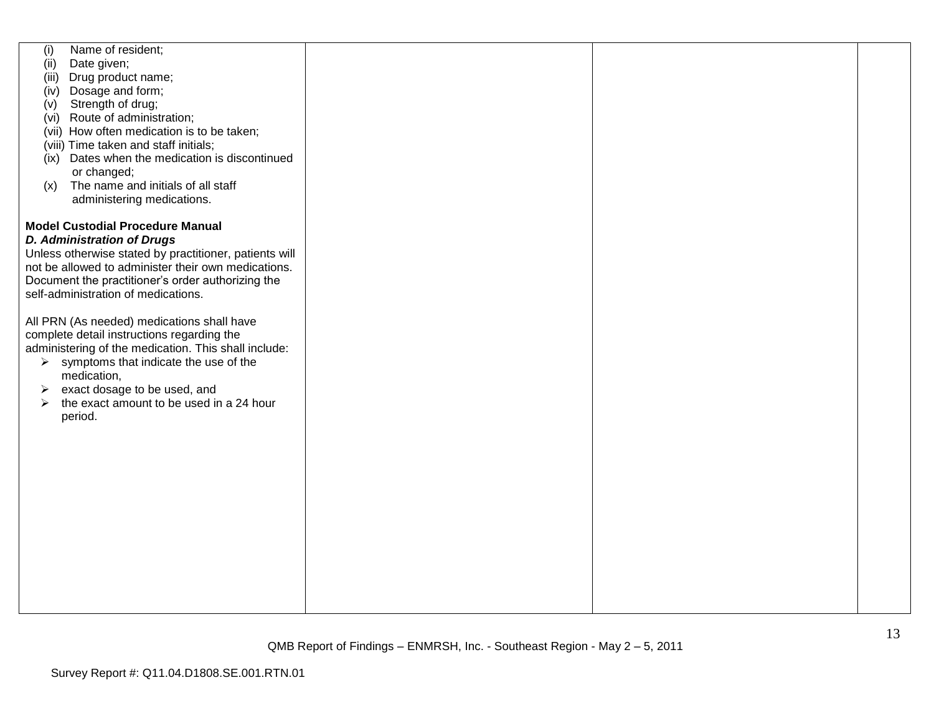| (i)<br>(ii)<br>(iii)<br>(iv)<br>(v)<br>(ix)<br>(x) | Name of resident;<br>Date given;<br>Drug product name;<br>Dosage and form;<br>Strength of drug;<br>(vi) Route of administration;<br>(vii) How often medication is to be taken;<br>(viii) Time taken and staff initials;<br>Dates when the medication is discontinued<br>or changed;<br>The name and initials of all staff<br>administering medications.                                                                                                                                                                                                                                                       |  |  |
|----------------------------------------------------|---------------------------------------------------------------------------------------------------------------------------------------------------------------------------------------------------------------------------------------------------------------------------------------------------------------------------------------------------------------------------------------------------------------------------------------------------------------------------------------------------------------------------------------------------------------------------------------------------------------|--|--|
| ➤<br>$\blacktriangleright$                         | <b>Model Custodial Procedure Manual</b><br><b>D. Administration of Drugs</b><br>Unless otherwise stated by practitioner, patients will<br>not be allowed to administer their own medications.<br>Document the practitioner's order authorizing the<br>self-administration of medications.<br>All PRN (As needed) medications shall have<br>complete detail instructions regarding the<br>administering of the medication. This shall include:<br>$\triangleright$ symptoms that indicate the use of the<br>medication,<br>exact dosage to be used, and<br>the exact amount to be used in a 24 hour<br>period. |  |  |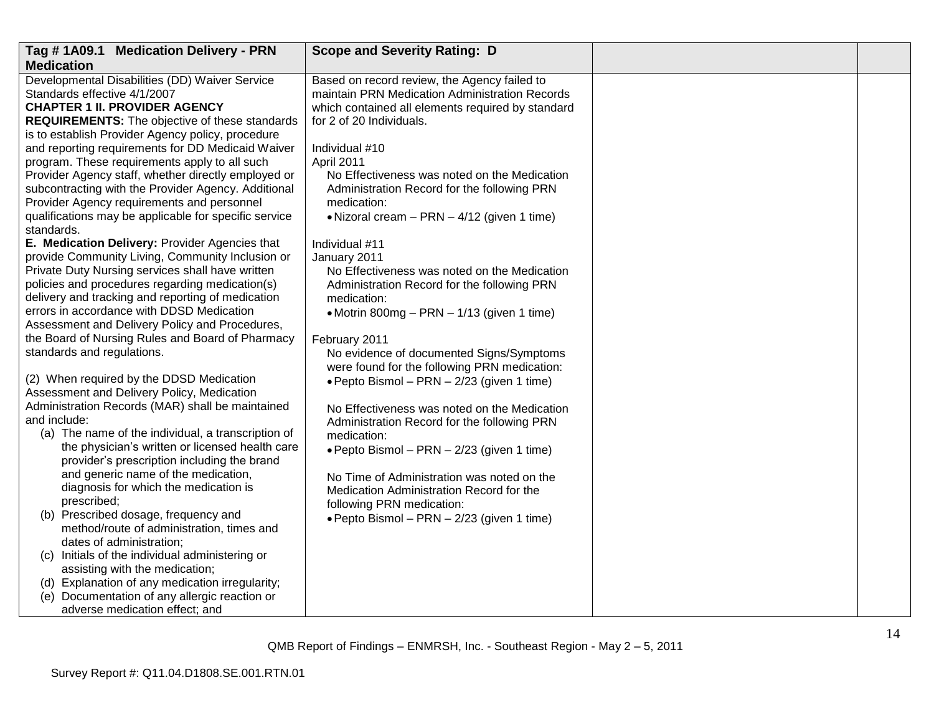| Tag #1A09.1 Medication Delivery - PRN                               | <b>Scope and Severity Rating: D</b>               |  |
|---------------------------------------------------------------------|---------------------------------------------------|--|
| <b>Medication</b>                                                   |                                                   |  |
| Developmental Disabilities (DD) Waiver Service                      | Based on record review, the Agency failed to      |  |
| Standards effective 4/1/2007                                        | maintain PRN Medication Administration Records    |  |
| <b>CHAPTER 1 II. PROVIDER AGENCY</b>                                | which contained all elements required by standard |  |
| <b>REQUIREMENTS:</b> The objective of these standards               | for 2 of 20 Individuals.                          |  |
| is to establish Provider Agency policy, procedure                   |                                                   |  |
| and reporting requirements for DD Medicaid Waiver                   | Individual #10                                    |  |
| program. These requirements apply to all such                       | April 2011                                        |  |
| Provider Agency staff, whether directly employed or                 | No Effectiveness was noted on the Medication      |  |
| subcontracting with the Provider Agency. Additional                 | Administration Record for the following PRN       |  |
| Provider Agency requirements and personnel                          | medication:                                       |  |
| qualifications may be applicable for specific service<br>standards. | • Nizoral cream $-$ PRN $-$ 4/12 (given 1 time)   |  |
| E. Medication Delivery: Provider Agencies that                      | Individual #11                                    |  |
| provide Community Living, Community Inclusion or                    | January 2011                                      |  |
| Private Duty Nursing services shall have written                    | No Effectiveness was noted on the Medication      |  |
| policies and procedures regarding medication(s)                     | Administration Record for the following PRN       |  |
| delivery and tracking and reporting of medication                   | medication:                                       |  |
| errors in accordance with DDSD Medication                           | • Motrin 800mg - PRN - 1/13 (given 1 time)        |  |
| Assessment and Delivery Policy and Procedures,                      |                                                   |  |
| the Board of Nursing Rules and Board of Pharmacy                    | February 2011                                     |  |
| standards and regulations.                                          | No evidence of documented Signs/Symptoms          |  |
|                                                                     | were found for the following PRN medication:      |  |
| (2) When required by the DDSD Medication                            | · Pepto Bismol - PRN - 2/23 (given 1 time)        |  |
| Assessment and Delivery Policy, Medication                          |                                                   |  |
| Administration Records (MAR) shall be maintained                    | No Effectiveness was noted on the Medication      |  |
| and include:                                                        | Administration Record for the following PRN       |  |
| (a) The name of the individual, a transcription of                  | medication:                                       |  |
| the physician's written or licensed health care                     | • Pepto Bismol - PRN - 2/23 (given 1 time)        |  |
| provider's prescription including the brand                         |                                                   |  |
| and generic name of the medication,                                 | No Time of Administration was noted on the        |  |
| diagnosis for which the medication is                               | Medication Administration Record for the          |  |
| prescribed;                                                         | following PRN medication:                         |  |
| (b) Prescribed dosage, frequency and                                | · Pepto Bismol - PRN - 2/23 (given 1 time)        |  |
| method/route of administration, times and                           |                                                   |  |
| dates of administration;                                            |                                                   |  |
| (c) Initials of the individual administering or                     |                                                   |  |
| assisting with the medication;                                      |                                                   |  |
| (d) Explanation of any medication irregularity;                     |                                                   |  |
| (e) Documentation of any allergic reaction or                       |                                                   |  |
| adverse medication effect; and                                      |                                                   |  |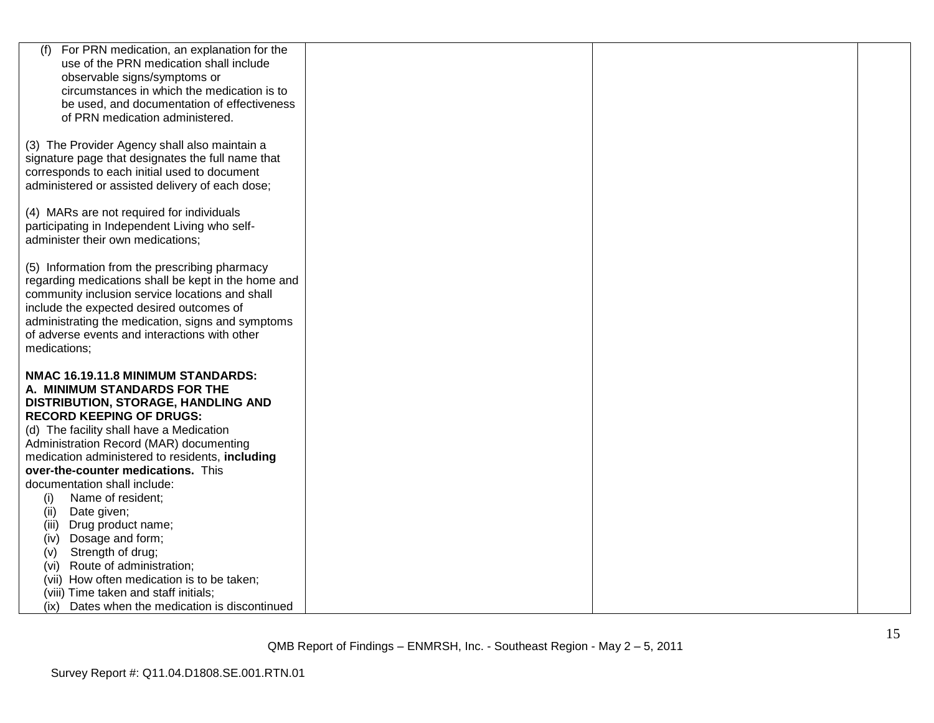| (f)<br>For PRN medication, an explanation for the                                                 |  |  |
|---------------------------------------------------------------------------------------------------|--|--|
| use of the PRN medication shall include                                                           |  |  |
| observable signs/symptoms or                                                                      |  |  |
| circumstances in which the medication is to                                                       |  |  |
| be used, and documentation of effectiveness                                                       |  |  |
| of PRN medication administered.                                                                   |  |  |
|                                                                                                   |  |  |
| (3) The Provider Agency shall also maintain a                                                     |  |  |
| signature page that designates the full name that<br>corresponds to each initial used to document |  |  |
| administered or assisted delivery of each dose;                                                   |  |  |
|                                                                                                   |  |  |
| (4) MARs are not required for individuals                                                         |  |  |
| participating in Independent Living who self-                                                     |  |  |
| administer their own medications;                                                                 |  |  |
|                                                                                                   |  |  |
| (5) Information from the prescribing pharmacy                                                     |  |  |
| regarding medications shall be kept in the home and                                               |  |  |
| community inclusion service locations and shall                                                   |  |  |
| include the expected desired outcomes of                                                          |  |  |
| administrating the medication, signs and symptoms                                                 |  |  |
| of adverse events and interactions with other                                                     |  |  |
| medications;                                                                                      |  |  |
| NMAC 16.19.11.8 MINIMUM STANDARDS:                                                                |  |  |
| A. MINIMUM STANDARDS FOR THE                                                                      |  |  |
| DISTRIBUTION, STORAGE, HANDLING AND                                                               |  |  |
| <b>RECORD KEEPING OF DRUGS:</b>                                                                   |  |  |
| (d) The facility shall have a Medication                                                          |  |  |
| Administration Record (MAR) documenting                                                           |  |  |
| medication administered to residents, including                                                   |  |  |
| over-the-counter medications. This                                                                |  |  |
| documentation shall include:                                                                      |  |  |
| Name of resident;<br>(i)                                                                          |  |  |
| (ii)<br>Date given;                                                                               |  |  |
| (iii)<br>Drug product name;                                                                       |  |  |
| Dosage and form;<br>(iv)                                                                          |  |  |
| Strength of drug;<br>(v)                                                                          |  |  |
| Route of administration;<br>(vi)                                                                  |  |  |
| (vii) How often medication is to be taken;                                                        |  |  |
| (viii) Time taken and staff initials;                                                             |  |  |
| (ix) Dates when the medication is discontinued                                                    |  |  |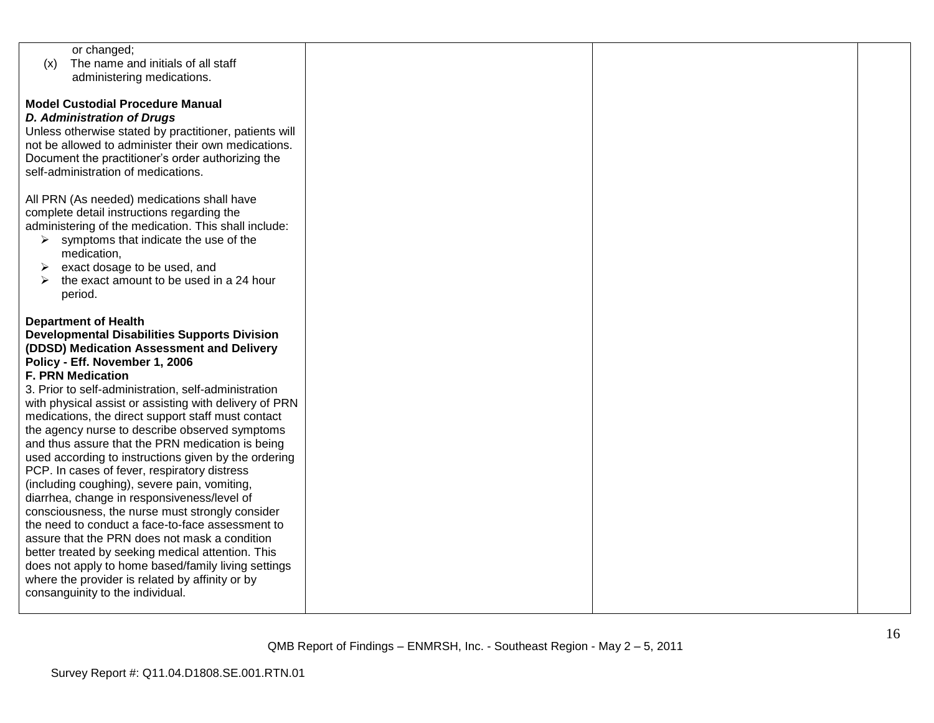| or changed;                                            |  |  |
|--------------------------------------------------------|--|--|
| The name and initials of all staff<br>(x)              |  |  |
| administering medications.                             |  |  |
|                                                        |  |  |
| <b>Model Custodial Procedure Manual</b>                |  |  |
| <b>D. Administration of Drugs</b>                      |  |  |
|                                                        |  |  |
| Unless otherwise stated by practitioner, patients will |  |  |
| not be allowed to administer their own medications.    |  |  |
| Document the practitioner's order authorizing the      |  |  |
| self-administration of medications.                    |  |  |
|                                                        |  |  |
| All PRN (As needed) medications shall have             |  |  |
| complete detail instructions regarding the             |  |  |
| administering of the medication. This shall include:   |  |  |
| symptoms that indicate the use of the<br>➤             |  |  |
| medication,                                            |  |  |
| exact dosage to be used, and<br>➤                      |  |  |
| the exact amount to be used in a 24 hour               |  |  |
|                                                        |  |  |
| period.                                                |  |  |
|                                                        |  |  |
| <b>Department of Health</b>                            |  |  |
| <b>Developmental Disabilities Supports Division</b>    |  |  |
| (DDSD) Medication Assessment and Delivery              |  |  |
| Policy - Eff. November 1, 2006                         |  |  |
| <b>F. PRN Medication</b>                               |  |  |
| 3. Prior to self-administration, self-administration   |  |  |
| with physical assist or assisting with delivery of PRN |  |  |
| medications, the direct support staff must contact     |  |  |
| the agency nurse to describe observed symptoms         |  |  |
| and thus assure that the PRN medication is being       |  |  |
| used according to instructions given by the ordering   |  |  |
| PCP. In cases of fever, respiratory distress           |  |  |
|                                                        |  |  |
| (including coughing), severe pain, vomiting,           |  |  |
| diarrhea, change in responsiveness/level of            |  |  |
| consciousness, the nurse must strongly consider        |  |  |
| the need to conduct a face-to-face assessment to       |  |  |
| assure that the PRN does not mask a condition          |  |  |
| better treated by seeking medical attention. This      |  |  |
| does not apply to home based/family living settings    |  |  |
| where the provider is related by affinity or by        |  |  |
| consanguinity to the individual.                       |  |  |
|                                                        |  |  |
|                                                        |  |  |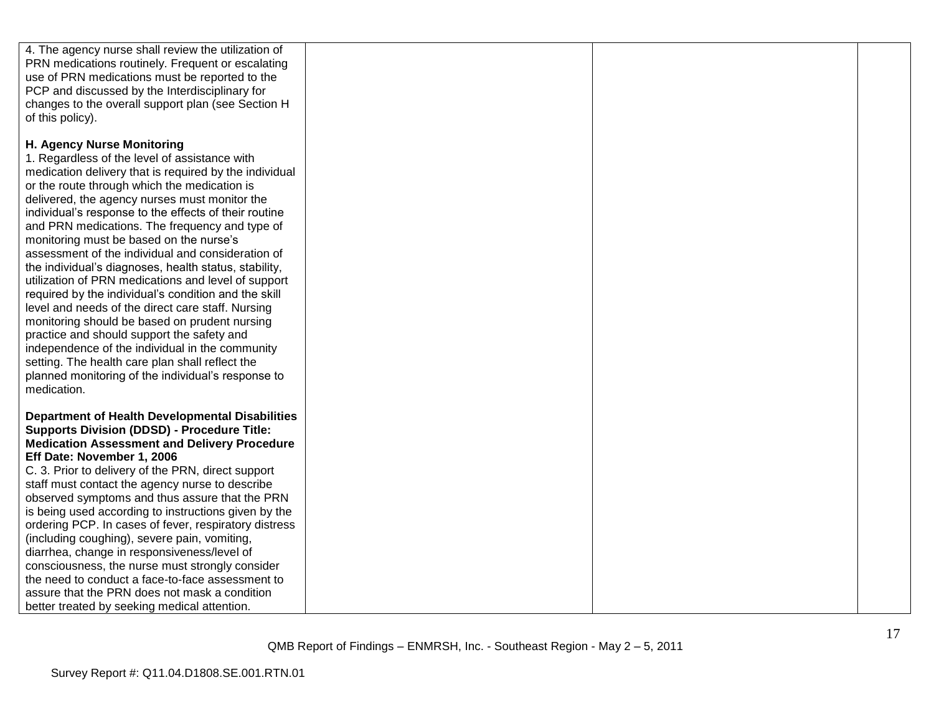| 4. The agency nurse shall review the utilization of                                                                                                                                   |  |  |
|---------------------------------------------------------------------------------------------------------------------------------------------------------------------------------------|--|--|
| PRN medications routinely. Frequent or escalating                                                                                                                                     |  |  |
| use of PRN medications must be reported to the                                                                                                                                        |  |  |
| PCP and discussed by the Interdisciplinary for                                                                                                                                        |  |  |
| changes to the overall support plan (see Section H                                                                                                                                    |  |  |
| of this policy).                                                                                                                                                                      |  |  |
| H. Agency Nurse Monitoring<br>1. Regardless of the level of assistance with<br>medication delivery that is required by the individual<br>or the route through which the medication is |  |  |
| delivered, the agency nurses must monitor the<br>individual's response to the effects of their routine                                                                                |  |  |
| and PRN medications. The frequency and type of                                                                                                                                        |  |  |
| monitoring must be based on the nurse's<br>assessment of the individual and consideration of                                                                                          |  |  |
| the individual's diagnoses, health status, stability,                                                                                                                                 |  |  |
| utilization of PRN medications and level of support<br>required by the individual's condition and the skill                                                                           |  |  |
| level and needs of the direct care staff. Nursing                                                                                                                                     |  |  |
| monitoring should be based on prudent nursing                                                                                                                                         |  |  |
| practice and should support the safety and                                                                                                                                            |  |  |
| independence of the individual in the community                                                                                                                                       |  |  |
| setting. The health care plan shall reflect the                                                                                                                                       |  |  |
| planned monitoring of the individual's response to                                                                                                                                    |  |  |
| medication.                                                                                                                                                                           |  |  |
| <b>Department of Health Developmental Disabilities</b>                                                                                                                                |  |  |
| <b>Supports Division (DDSD) - Procedure Title:</b>                                                                                                                                    |  |  |
| <b>Medication Assessment and Delivery Procedure</b>                                                                                                                                   |  |  |
| Eff Date: November 1, 2006                                                                                                                                                            |  |  |
| C. 3. Prior to delivery of the PRN, direct support<br>staff must contact the agency nurse to describe                                                                                 |  |  |
| observed symptoms and thus assure that the PRN                                                                                                                                        |  |  |
| is being used according to instructions given by the                                                                                                                                  |  |  |
| ordering PCP. In cases of fever, respiratory distress                                                                                                                                 |  |  |
| (including coughing), severe pain, vomiting,                                                                                                                                          |  |  |
| diarrhea, change in responsiveness/level of                                                                                                                                           |  |  |
| consciousness, the nurse must strongly consider                                                                                                                                       |  |  |
| the need to conduct a face-to-face assessment to                                                                                                                                      |  |  |
| assure that the PRN does not mask a condition                                                                                                                                         |  |  |
| better treated by seeking medical attention.                                                                                                                                          |  |  |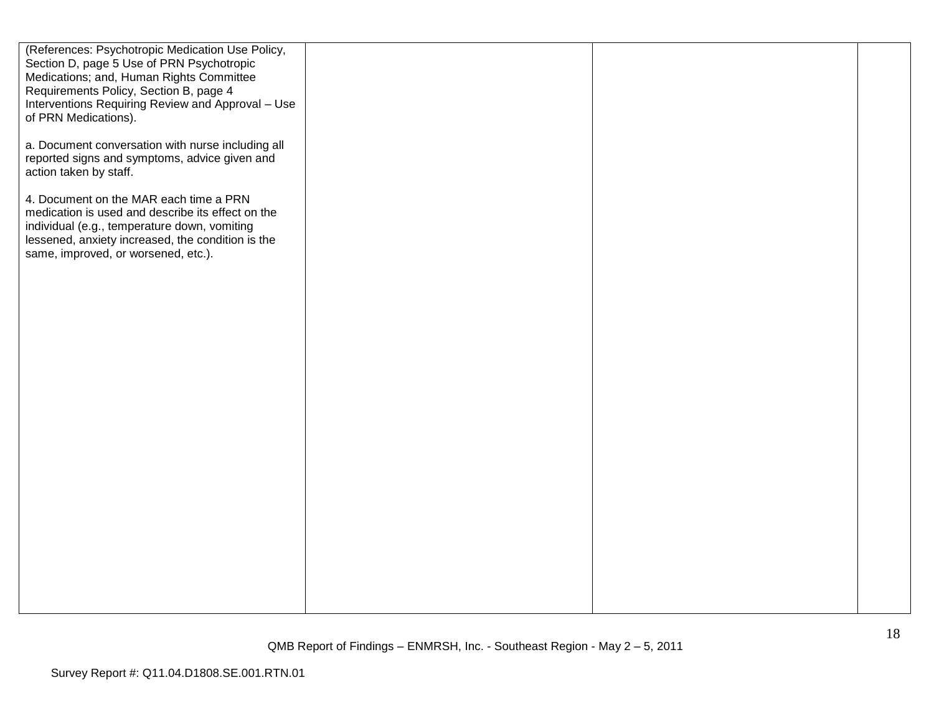| (References: Psychotropic Medication Use Policy,<br>Section D, page 5 Use of PRN Psychotropic<br>Medications; and, Human Rights Committee<br>Requirements Policy, Section B, page 4<br>Interventions Requiring Review and Approval - Use<br>of PRN Medications). |  |  |
|------------------------------------------------------------------------------------------------------------------------------------------------------------------------------------------------------------------------------------------------------------------|--|--|
| a. Document conversation with nurse including all<br>reported signs and symptoms, advice given and<br>action taken by staff.                                                                                                                                     |  |  |
| 4. Document on the MAR each time a PRN<br>medication is used and describe its effect on the<br>individual (e.g., temperature down, vomiting<br>lessened, anxiety increased, the condition is the<br>same, improved, or worsened, etc.).                          |  |  |
|                                                                                                                                                                                                                                                                  |  |  |
|                                                                                                                                                                                                                                                                  |  |  |
|                                                                                                                                                                                                                                                                  |  |  |
|                                                                                                                                                                                                                                                                  |  |  |
|                                                                                                                                                                                                                                                                  |  |  |
|                                                                                                                                                                                                                                                                  |  |  |
|                                                                                                                                                                                                                                                                  |  |  |
|                                                                                                                                                                                                                                                                  |  |  |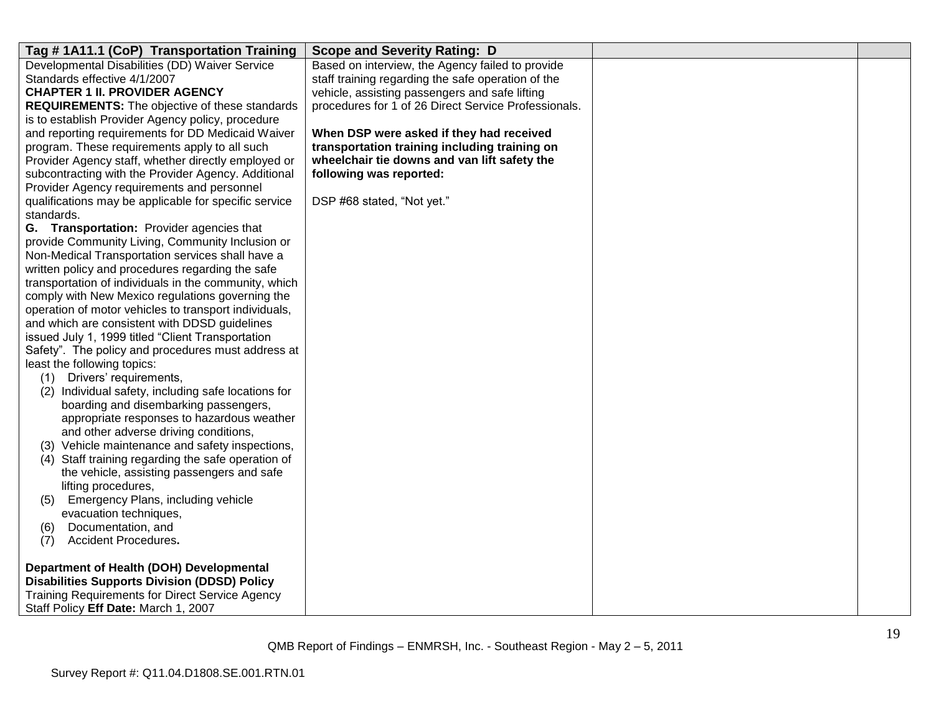| Tag # 1A11.1 (CoP) Transportation Training             | <b>Scope and Severity Rating: D</b>                  |  |
|--------------------------------------------------------|------------------------------------------------------|--|
| Developmental Disabilities (DD) Waiver Service         | Based on interview, the Agency failed to provide     |  |
| Standards effective 4/1/2007                           | staff training regarding the safe operation of the   |  |
| <b>CHAPTER 1 II. PROVIDER AGENCY</b>                   | vehicle, assisting passengers and safe lifting       |  |
| <b>REQUIREMENTS:</b> The objective of these standards  | procedures for 1 of 26 Direct Service Professionals. |  |
| is to establish Provider Agency policy, procedure      |                                                      |  |
| and reporting requirements for DD Medicaid Waiver      | When DSP were asked if they had received             |  |
| program. These requirements apply to all such          | transportation training including training on        |  |
| Provider Agency staff, whether directly employed or    | wheelchair tie downs and van lift safety the         |  |
| subcontracting with the Provider Agency. Additional    | following was reported:                              |  |
| Provider Agency requirements and personnel             |                                                      |  |
| qualifications may be applicable for specific service  | DSP #68 stated, "Not yet."                           |  |
| standards.                                             |                                                      |  |
| G. Transportation: Provider agencies that              |                                                      |  |
| provide Community Living, Community Inclusion or       |                                                      |  |
| Non-Medical Transportation services shall have a       |                                                      |  |
| written policy and procedures regarding the safe       |                                                      |  |
| transportation of individuals in the community, which  |                                                      |  |
| comply with New Mexico regulations governing the       |                                                      |  |
| operation of motor vehicles to transport individuals,  |                                                      |  |
| and which are consistent with DDSD guidelines          |                                                      |  |
| issued July 1, 1999 titled "Client Transportation      |                                                      |  |
| Safety". The policy and procedures must address at     |                                                      |  |
| least the following topics:                            |                                                      |  |
| (1) Drivers' requirements,                             |                                                      |  |
| (2) Individual safety, including safe locations for    |                                                      |  |
| boarding and disembarking passengers,                  |                                                      |  |
| appropriate responses to hazardous weather             |                                                      |  |
| and other adverse driving conditions,                  |                                                      |  |
| (3) Vehicle maintenance and safety inspections,        |                                                      |  |
| (4) Staff training regarding the safe operation of     |                                                      |  |
| the vehicle, assisting passengers and safe             |                                                      |  |
| lifting procedures,                                    |                                                      |  |
| <b>Emergency Plans, including vehicle</b><br>(5)       |                                                      |  |
| evacuation techniques,                                 |                                                      |  |
| Documentation, and<br>(6)                              |                                                      |  |
| <b>Accident Procedures.</b><br>(7)                     |                                                      |  |
|                                                        |                                                      |  |
| Department of Health (DOH) Developmental               |                                                      |  |
| <b>Disabilities Supports Division (DDSD) Policy</b>    |                                                      |  |
| <b>Training Requirements for Direct Service Agency</b> |                                                      |  |
| Staff Policy Eff Date: March 1, 2007                   |                                                      |  |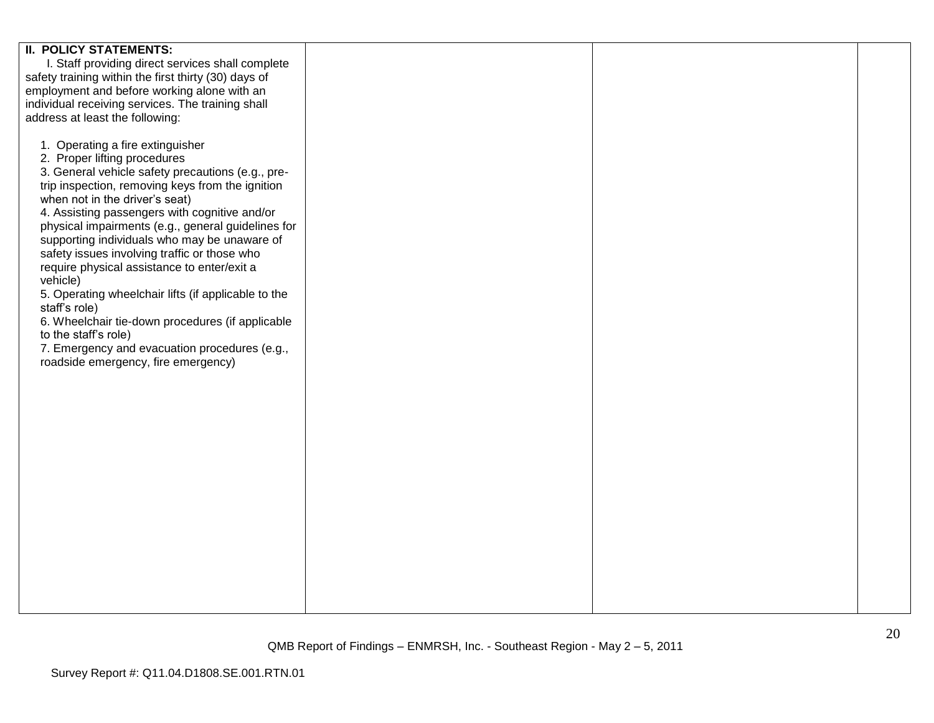| <b>II. POLICY STATEMENTS:</b>                        |  |  |
|------------------------------------------------------|--|--|
| I. Staff providing direct services shall complete    |  |  |
|                                                      |  |  |
| safety training within the first thirty (30) days of |  |  |
| employment and before working alone with an          |  |  |
| individual receiving services. The training shall    |  |  |
|                                                      |  |  |
| address at least the following:                      |  |  |
|                                                      |  |  |
| 1. Operating a fire extinguisher                     |  |  |
| 2. Proper lifting procedures                         |  |  |
|                                                      |  |  |
| 3. General vehicle safety precautions (e.g., pre-    |  |  |
| trip inspection, removing keys from the ignition     |  |  |
| when not in the driver's seat)                       |  |  |
| 4. Assisting passengers with cognitive and/or        |  |  |
|                                                      |  |  |
| physical impairments (e.g., general guidelines for   |  |  |
| supporting individuals who may be unaware of         |  |  |
| safety issues involving traffic or those who         |  |  |
| require physical assistance to enter/exit a          |  |  |
|                                                      |  |  |
| vehicle)                                             |  |  |
| 5. Operating wheelchair lifts (if applicable to the  |  |  |
| staff's role)                                        |  |  |
| 6. Wheelchair tie-down procedures (if applicable     |  |  |
|                                                      |  |  |
| to the staff's role)                                 |  |  |
| 7. Emergency and evacuation procedures (e.g.,        |  |  |
| roadside emergency, fire emergency)                  |  |  |
|                                                      |  |  |
|                                                      |  |  |
|                                                      |  |  |
|                                                      |  |  |
|                                                      |  |  |
|                                                      |  |  |
|                                                      |  |  |
|                                                      |  |  |
|                                                      |  |  |
|                                                      |  |  |
|                                                      |  |  |
|                                                      |  |  |
|                                                      |  |  |
|                                                      |  |  |
|                                                      |  |  |
|                                                      |  |  |
|                                                      |  |  |
|                                                      |  |  |
|                                                      |  |  |
|                                                      |  |  |
|                                                      |  |  |
|                                                      |  |  |
|                                                      |  |  |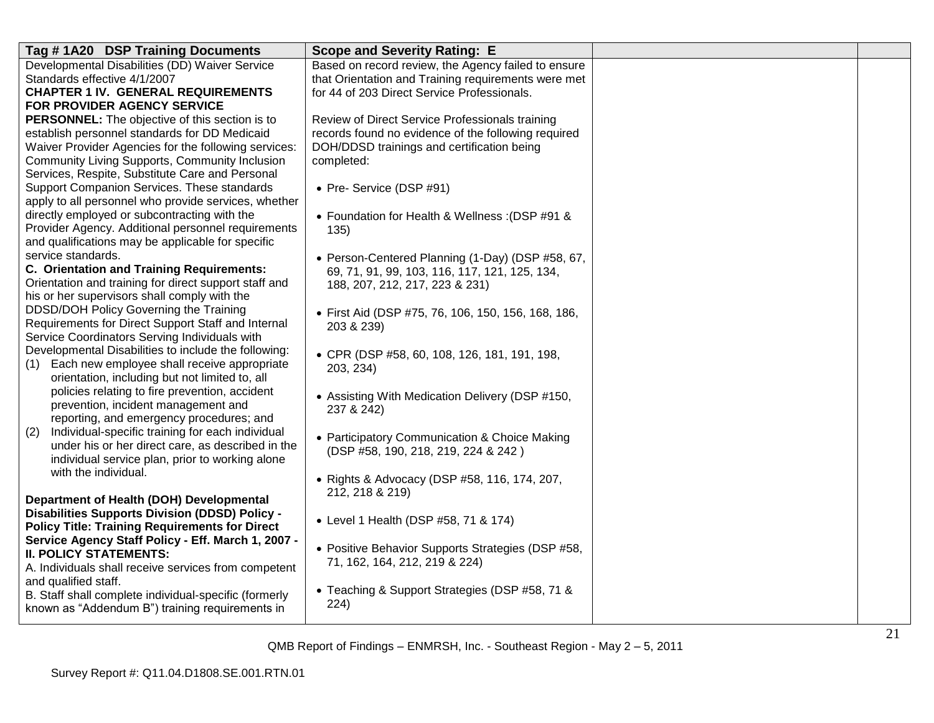| Tag #1A20 DSP Training Documents                                                                      | <b>Scope and Severity Rating: E</b>                             |  |
|-------------------------------------------------------------------------------------------------------|-----------------------------------------------------------------|--|
| Developmental Disabilities (DD) Waiver Service                                                        | Based on record review, the Agency failed to ensure             |  |
| Standards effective 4/1/2007                                                                          | that Orientation and Training requirements were met             |  |
| <b>CHAPTER 1 IV. GENERAL REQUIREMENTS</b>                                                             | for 44 of 203 Direct Service Professionals.                     |  |
| FOR PROVIDER AGENCY SERVICE                                                                           |                                                                 |  |
| <b>PERSONNEL:</b> The objective of this section is to                                                 | Review of Direct Service Professionals training                 |  |
| establish personnel standards for DD Medicaid                                                         | records found no evidence of the following required             |  |
| Waiver Provider Agencies for the following services:                                                  | DOH/DDSD trainings and certification being                      |  |
| Community Living Supports, Community Inclusion                                                        | completed:                                                      |  |
| Services, Respite, Substitute Care and Personal                                                       |                                                                 |  |
| Support Companion Services. These standards                                                           | • Pre- Service (DSP #91)                                        |  |
| apply to all personnel who provide services, whether                                                  |                                                                 |  |
| directly employed or subcontracting with the                                                          | • Foundation for Health & Wellness: (DSP #91 &                  |  |
| Provider Agency. Additional personnel requirements                                                    | 135)                                                            |  |
| and qualifications may be applicable for specific                                                     |                                                                 |  |
| service standards.                                                                                    | • Person-Centered Planning (1-Day) (DSP #58, 67,                |  |
| C. Orientation and Training Requirements:                                                             | 69, 71, 91, 99, 103, 116, 117, 121, 125, 134,                   |  |
| Orientation and training for direct support staff and<br>his or her supervisors shall comply with the | 188, 207, 212, 217, 223 & 231)                                  |  |
| DDSD/DOH Policy Governing the Training                                                                |                                                                 |  |
| Requirements for Direct Support Staff and Internal                                                    | • First Aid (DSP #75, 76, 106, 150, 156, 168, 186,              |  |
| Service Coordinators Serving Individuals with                                                         | 203 & 239)                                                      |  |
| Developmental Disabilities to include the following:                                                  |                                                                 |  |
| Each new employee shall receive appropriate<br>(1)                                                    | • CPR (DSP #58, 60, 108, 126, 181, 191, 198,                    |  |
| orientation, including but not limited to, all                                                        | 203, 234)                                                       |  |
| policies relating to fire prevention, accident                                                        |                                                                 |  |
| prevention, incident management and                                                                   | • Assisting With Medication Delivery (DSP #150,                 |  |
| reporting, and emergency procedures; and                                                              | 237 & 242)                                                      |  |
| Individual-specific training for each individual<br>(2)                                               | • Participatory Communication & Choice Making                   |  |
| under his or her direct care, as described in the                                                     | (DSP #58, 190, 218, 219, 224 & 242)                             |  |
| individual service plan, prior to working alone                                                       |                                                                 |  |
| with the individual.                                                                                  |                                                                 |  |
|                                                                                                       | • Rights & Advocacy (DSP #58, 116, 174, 207,<br>212, 218 & 219) |  |
| Department of Health (DOH) Developmental                                                              |                                                                 |  |
| <b>Disabilities Supports Division (DDSD) Policy -</b>                                                 | • Level 1 Health (DSP #58, 71 & 174)                            |  |
| <b>Policy Title: Training Requirements for Direct</b>                                                 |                                                                 |  |
| Service Agency Staff Policy - Eff. March 1, 2007 -                                                    | • Positive Behavior Supports Strategies (DSP #58,               |  |
| <b>II. POLICY STATEMENTS:</b>                                                                         | 71, 162, 164, 212, 219 & 224)                                   |  |
| A. Individuals shall receive services from competent                                                  |                                                                 |  |
| and qualified staff.                                                                                  | • Teaching & Support Strategies (DSP #58, 71 &                  |  |
| B. Staff shall complete individual-specific (formerly                                                 | 224)                                                            |  |
| known as "Addendum B") training requirements in                                                       |                                                                 |  |
|                                                                                                       |                                                                 |  |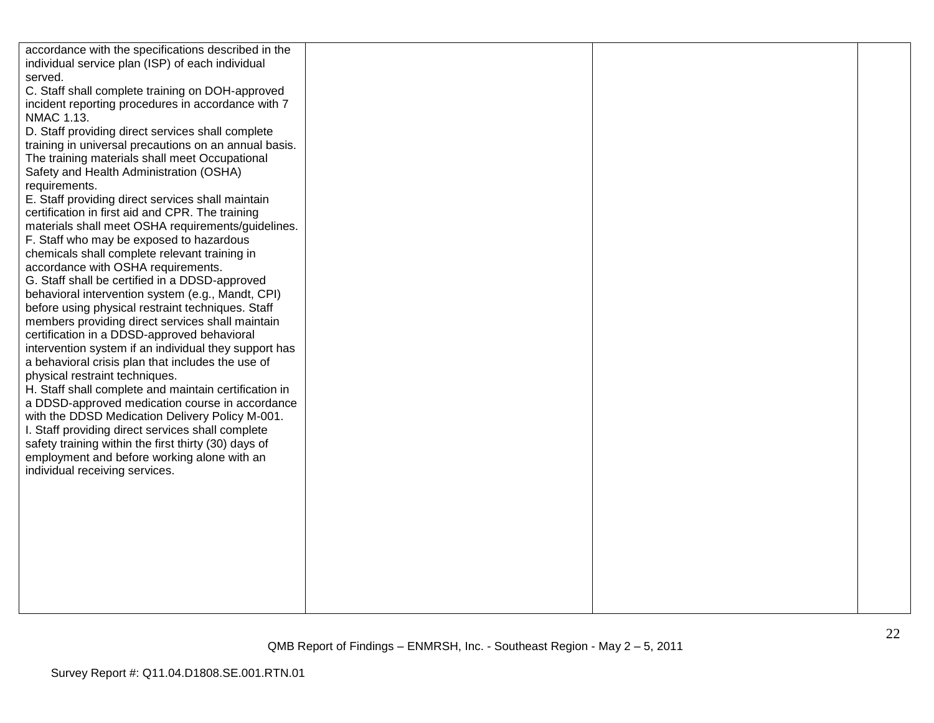| accordance with the specifications described in the<br>individual service plan (ISP) of each individual |  |  |
|---------------------------------------------------------------------------------------------------------|--|--|
| served.                                                                                                 |  |  |
| C. Staff shall complete training on DOH-approved                                                        |  |  |
| incident reporting procedures in accordance with 7                                                      |  |  |
| NMAC 1.13.                                                                                              |  |  |
| D. Staff providing direct services shall complete                                                       |  |  |
| training in universal precautions on an annual basis.                                                   |  |  |
| The training materials shall meet Occupational                                                          |  |  |
| Safety and Health Administration (OSHA)                                                                 |  |  |
| requirements.                                                                                           |  |  |
| E. Staff providing direct services shall maintain<br>certification in first aid and CPR. The training   |  |  |
| materials shall meet OSHA requirements/guidelines.                                                      |  |  |
| F. Staff who may be exposed to hazardous                                                                |  |  |
| chemicals shall complete relevant training in                                                           |  |  |
| accordance with OSHA requirements.                                                                      |  |  |
| G. Staff shall be certified in a DDSD-approved                                                          |  |  |
| behavioral intervention system (e.g., Mandt, CPI)                                                       |  |  |
| before using physical restraint techniques. Staff                                                       |  |  |
| members providing direct services shall maintain                                                        |  |  |
| certification in a DDSD-approved behavioral                                                             |  |  |
| intervention system if an individual they support has                                                   |  |  |
| a behavioral crisis plan that includes the use of                                                       |  |  |
| physical restraint techniques.                                                                          |  |  |
| H. Staff shall complete and maintain certification in                                                   |  |  |
| a DDSD-approved medication course in accordance                                                         |  |  |
| with the DDSD Medication Delivery Policy M-001.<br>I. Staff providing direct services shall complete    |  |  |
| safety training within the first thirty (30) days of                                                    |  |  |
| employment and before working alone with an                                                             |  |  |
| individual receiving services.                                                                          |  |  |
|                                                                                                         |  |  |
|                                                                                                         |  |  |
|                                                                                                         |  |  |
|                                                                                                         |  |  |
|                                                                                                         |  |  |
|                                                                                                         |  |  |
|                                                                                                         |  |  |
|                                                                                                         |  |  |
|                                                                                                         |  |  |
|                                                                                                         |  |  |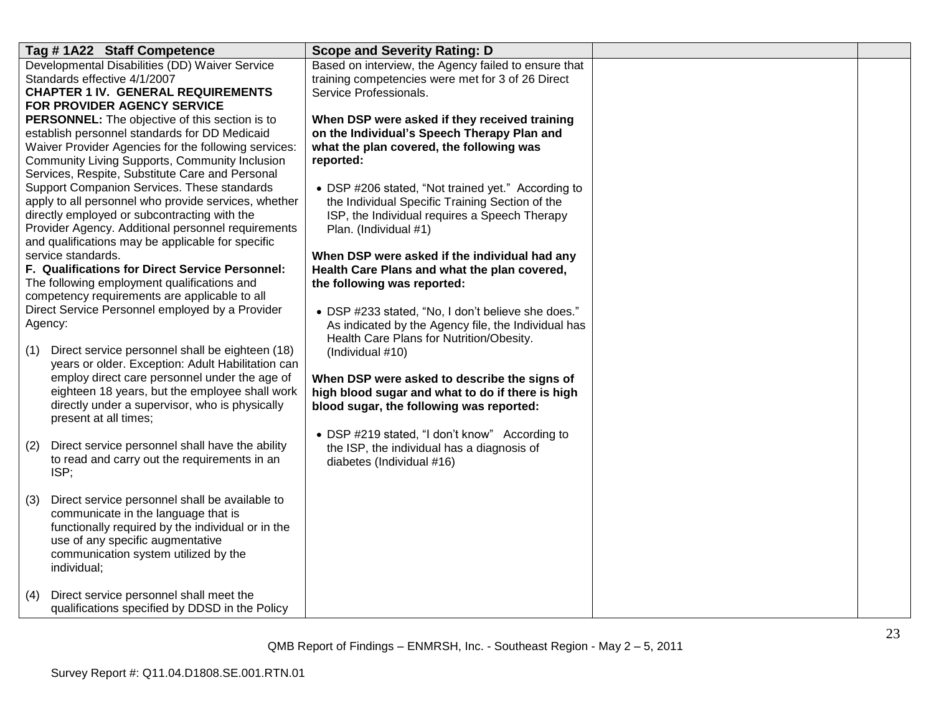| Developmental Disabilities (DD) Waiver Service<br>Based on interview, the Agency failed to ensure that<br>Standards effective 4/1/2007<br>training competencies were met for 3 of 26 Direct     |  |
|-------------------------------------------------------------------------------------------------------------------------------------------------------------------------------------------------|--|
|                                                                                                                                                                                                 |  |
|                                                                                                                                                                                                 |  |
| Service Professionals.<br><b>CHAPTER 1 IV. GENERAL REQUIREMENTS</b>                                                                                                                             |  |
| FOR PROVIDER AGENCY SERVICE                                                                                                                                                                     |  |
| PERSONNEL: The objective of this section is to<br>When DSP were asked if they received training<br>establish personnel standards for DD Medicaid<br>on the Individual's Speech Therapy Plan and |  |
| Waiver Provider Agencies for the following services:<br>what the plan covered, the following was                                                                                                |  |
| Community Living Supports, Community Inclusion<br>reported:                                                                                                                                     |  |
| Services, Respite, Substitute Care and Personal                                                                                                                                                 |  |
| Support Companion Services. These standards<br>• DSP #206 stated, "Not trained yet." According to                                                                                               |  |
| apply to all personnel who provide services, whether<br>the Individual Specific Training Section of the                                                                                         |  |
| directly employed or subcontracting with the<br>ISP, the Individual requires a Speech Therapy                                                                                                   |  |
| Provider Agency. Additional personnel requirements<br>Plan. (Individual #1)                                                                                                                     |  |
| and qualifications may be applicable for specific                                                                                                                                               |  |
| service standards.<br>When DSP were asked if the individual had any                                                                                                                             |  |
| F. Qualifications for Direct Service Personnel:<br>Health Care Plans and what the plan covered,                                                                                                 |  |
| The following employment qualifications and<br>the following was reported:                                                                                                                      |  |
| competency requirements are applicable to all<br>Direct Service Personnel employed by a Provider                                                                                                |  |
| • DSP #233 stated, "No, I don't believe she does."<br>Agency:                                                                                                                                   |  |
| As indicated by the Agency file, the Individual has<br>Health Care Plans for Nutrition/Obesity.                                                                                                 |  |
| Direct service personnel shall be eighteen (18)<br>(1)<br>(Individual #10)                                                                                                                      |  |
| years or older. Exception: Adult Habilitation can                                                                                                                                               |  |
| employ direct care personnel under the age of<br>When DSP were asked to describe the signs of                                                                                                   |  |
| eighteen 18 years, but the employee shall work<br>high blood sugar and what to do if there is high                                                                                              |  |
| directly under a supervisor, who is physically<br>blood sugar, the following was reported:                                                                                                      |  |
| present at all times;                                                                                                                                                                           |  |
| • DSP #219 stated, "I don't know" According to                                                                                                                                                  |  |
| Direct service personnel shall have the ability<br>(2)<br>the ISP, the individual has a diagnosis of                                                                                            |  |
| to read and carry out the requirements in an<br>diabetes (Individual #16)<br>ISP;                                                                                                               |  |
|                                                                                                                                                                                                 |  |
| Direct service personnel shall be available to<br>(3)                                                                                                                                           |  |
| communicate in the language that is                                                                                                                                                             |  |
| functionally required by the individual or in the                                                                                                                                               |  |
| use of any specific augmentative                                                                                                                                                                |  |
| communication system utilized by the                                                                                                                                                            |  |
| individual;                                                                                                                                                                                     |  |
|                                                                                                                                                                                                 |  |
| Direct service personnel shall meet the<br>(4)                                                                                                                                                  |  |
| qualifications specified by DDSD in the Policy                                                                                                                                                  |  |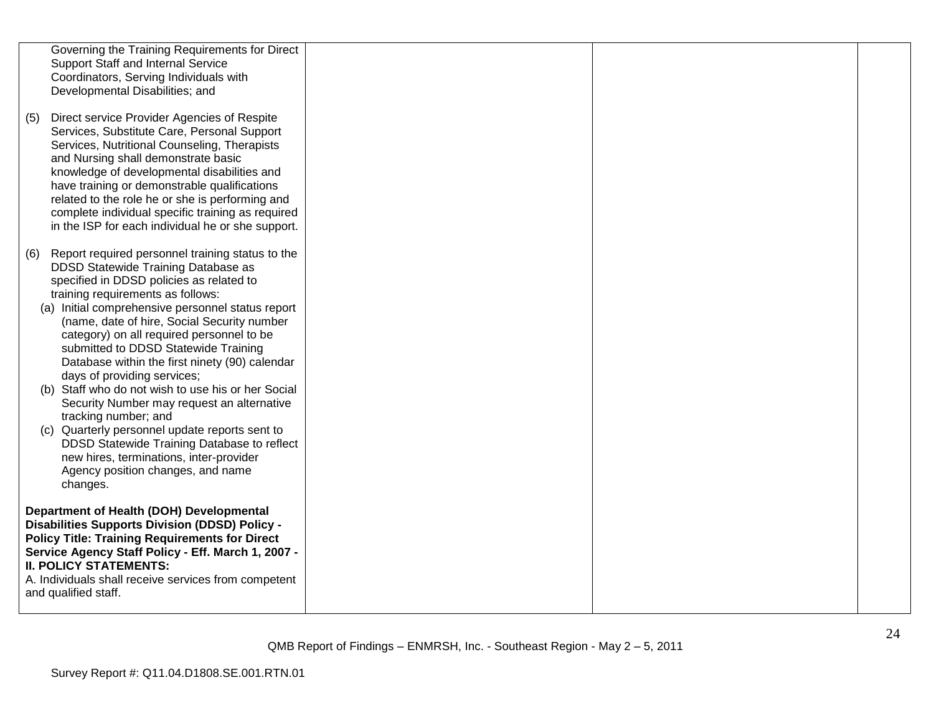|     | Governing the Training Requirements for Direct<br><b>Support Staff and Internal Service</b><br>Coordinators, Serving Individuals with<br>Developmental Disabilities; and                                                                                                                                                                                                                                                                                                                                                                                                                                                                                                                                                                                                    |  |  |
|-----|-----------------------------------------------------------------------------------------------------------------------------------------------------------------------------------------------------------------------------------------------------------------------------------------------------------------------------------------------------------------------------------------------------------------------------------------------------------------------------------------------------------------------------------------------------------------------------------------------------------------------------------------------------------------------------------------------------------------------------------------------------------------------------|--|--|
| (5) | Direct service Provider Agencies of Respite<br>Services, Substitute Care, Personal Support<br>Services, Nutritional Counseling, Therapists<br>and Nursing shall demonstrate basic<br>knowledge of developmental disabilities and<br>have training or demonstrable qualifications<br>related to the role he or she is performing and<br>complete individual specific training as required<br>in the ISP for each individual he or she support.                                                                                                                                                                                                                                                                                                                               |  |  |
| (6) | Report required personnel training status to the<br>DDSD Statewide Training Database as<br>specified in DDSD policies as related to<br>training requirements as follows:<br>(a) Initial comprehensive personnel status report<br>(name, date of hire, Social Security number<br>category) on all required personnel to be<br>submitted to DDSD Statewide Training<br>Database within the first ninety (90) calendar<br>days of providing services;<br>(b) Staff who do not wish to use his or her Social<br>Security Number may request an alternative<br>tracking number; and<br>(c) Quarterly personnel update reports sent to<br>DDSD Statewide Training Database to reflect<br>new hires, terminations, inter-provider<br>Agency position changes, and name<br>changes. |  |  |
|     | Department of Health (DOH) Developmental<br><b>Disabilities Supports Division (DDSD) Policy -</b><br><b>Policy Title: Training Requirements for Direct</b><br>Service Agency Staff Policy - Eff. March 1, 2007 -<br><b>II. POLICY STATEMENTS:</b><br>A. Individuals shall receive services from competent<br>and qualified staff.                                                                                                                                                                                                                                                                                                                                                                                                                                           |  |  |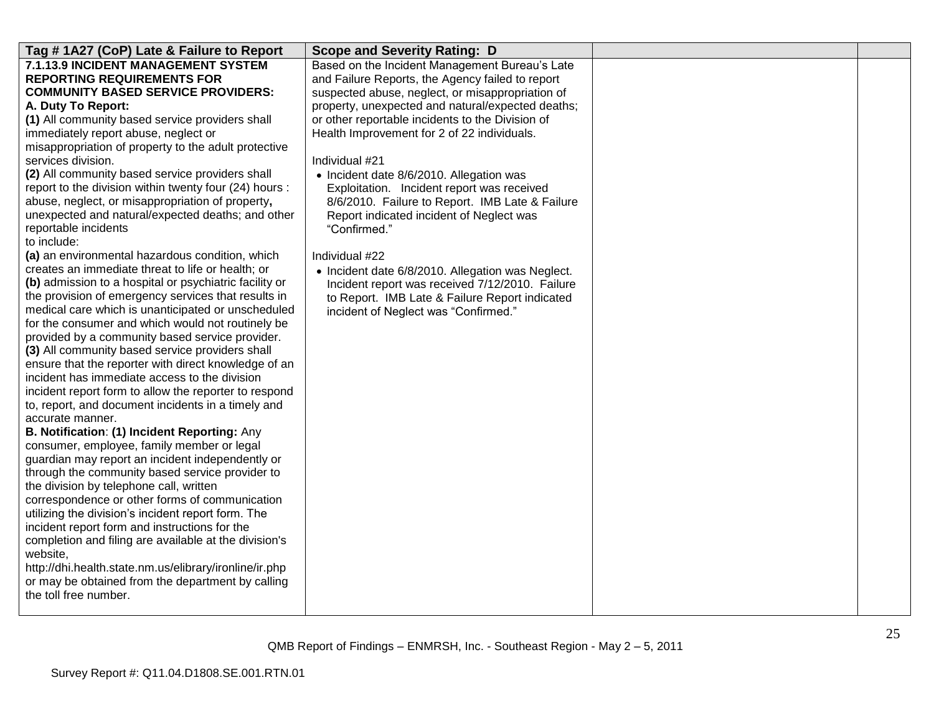| Tag #1A27 (CoP) Late & Failure to Report                                                              | <b>Scope and Severity Rating: D</b>                      |  |
|-------------------------------------------------------------------------------------------------------|----------------------------------------------------------|--|
| 7.1.13.9 INCIDENT MANAGEMENT SYSTEM                                                                   | Based on the Incident Management Bureau's Late           |  |
| <b>REPORTING REQUIREMENTS FOR</b>                                                                     | and Failure Reports, the Agency failed to report         |  |
| <b>COMMUNITY BASED SERVICE PROVIDERS:</b>                                                             | suspected abuse, neglect, or misappropriation of         |  |
| A. Duty To Report:                                                                                    | property, unexpected and natural/expected deaths;        |  |
| (1) All community based service providers shall                                                       | or other reportable incidents to the Division of         |  |
| immediately report abuse, neglect or                                                                  | Health Improvement for 2 of 22 individuals.              |  |
| misappropriation of property to the adult protective                                                  |                                                          |  |
| services division.                                                                                    | Individual #21                                           |  |
| (2) All community based service providers shall                                                       | • Incident date 8/6/2010. Allegation was                 |  |
| report to the division within twenty four (24) hours :                                                | Exploitation. Incident report was received               |  |
| abuse, neglect, or misappropriation of property,<br>unexpected and natural/expected deaths; and other | 8/6/2010. Failure to Report. IMB Late & Failure          |  |
| reportable incidents                                                                                  | Report indicated incident of Neglect was<br>"Confirmed." |  |
| to include:                                                                                           |                                                          |  |
| (a) an environmental hazardous condition, which                                                       | Individual #22                                           |  |
| creates an immediate threat to life or health; or                                                     | • Incident date 6/8/2010. Allegation was Neglect.        |  |
| (b) admission to a hospital or psychiatric facility or                                                | Incident report was received 7/12/2010. Failure          |  |
| the provision of emergency services that results in                                                   | to Report. IMB Late & Failure Report indicated           |  |
| medical care which is unanticipated or unscheduled                                                    | incident of Neglect was "Confirmed."                     |  |
| for the consumer and which would not routinely be                                                     |                                                          |  |
| provided by a community based service provider.                                                       |                                                          |  |
| (3) All community based service providers shall                                                       |                                                          |  |
| ensure that the reporter with direct knowledge of an                                                  |                                                          |  |
| incident has immediate access to the division                                                         |                                                          |  |
| incident report form to allow the reporter to respond                                                 |                                                          |  |
| to, report, and document incidents in a timely and                                                    |                                                          |  |
| accurate manner.                                                                                      |                                                          |  |
| B. Notification: (1) Incident Reporting: Any                                                          |                                                          |  |
| consumer, employee, family member or legal                                                            |                                                          |  |
| guardian may report an incident independently or                                                      |                                                          |  |
| through the community based service provider to                                                       |                                                          |  |
| the division by telephone call, written                                                               |                                                          |  |
| correspondence or other forms of communication                                                        |                                                          |  |
| utilizing the division's incident report form. The                                                    |                                                          |  |
| incident report form and instructions for the                                                         |                                                          |  |
| completion and filing are available at the division's                                                 |                                                          |  |
| website,                                                                                              |                                                          |  |
| http://dhi.health.state.nm.us/elibrary/ironline/ir.php                                                |                                                          |  |
| or may be obtained from the department by calling                                                     |                                                          |  |
| the toll free number.                                                                                 |                                                          |  |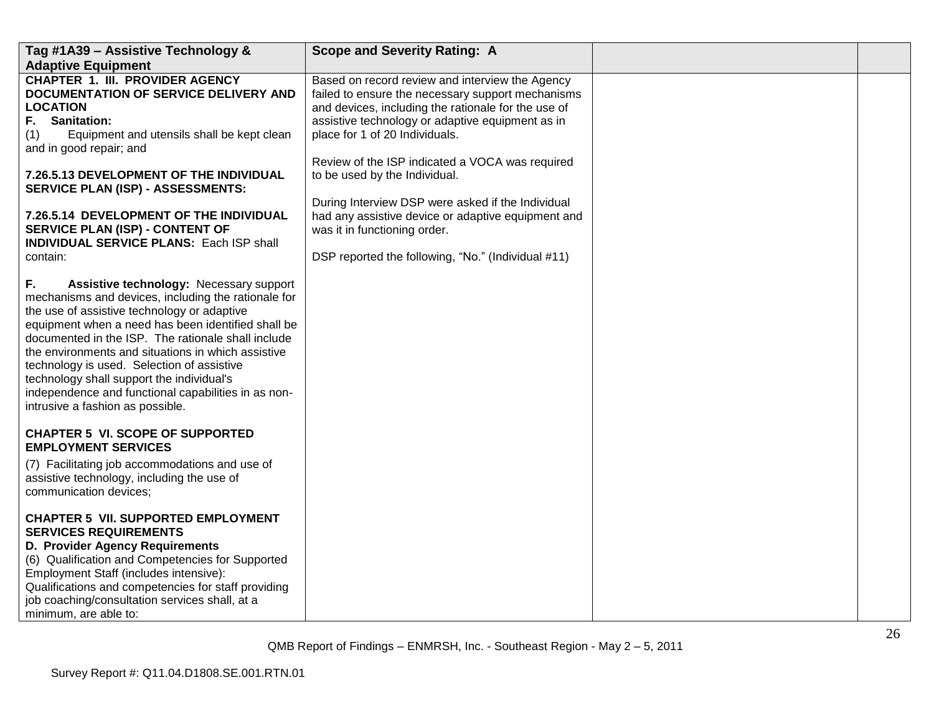| Tag #1A39 - Assistive Technology &                                                                                                                                                                                                                                                                                                                                                                                                                                                                                                                                                                                                                                                                             | <b>Scope and Severity Rating: A</b>                                                                                                                                                                                                               |  |
|----------------------------------------------------------------------------------------------------------------------------------------------------------------------------------------------------------------------------------------------------------------------------------------------------------------------------------------------------------------------------------------------------------------------------------------------------------------------------------------------------------------------------------------------------------------------------------------------------------------------------------------------------------------------------------------------------------------|---------------------------------------------------------------------------------------------------------------------------------------------------------------------------------------------------------------------------------------------------|--|
| <b>Adaptive Equipment</b>                                                                                                                                                                                                                                                                                                                                                                                                                                                                                                                                                                                                                                                                                      |                                                                                                                                                                                                                                                   |  |
| <b>CHAPTER 1. III. PROVIDER AGENCY</b><br>DOCUMENTATION OF SERVICE DELIVERY AND<br><b>LOCATION</b><br><b>Sanitation:</b><br>F.<br>Equipment and utensils shall be kept clean<br>(1)<br>and in good repair; and                                                                                                                                                                                                                                                                                                                                                                                                                                                                                                 | Based on record review and interview the Agency<br>failed to ensure the necessary support mechanisms<br>and devices, including the rationale for the use of<br>assistive technology or adaptive equipment as in<br>place for 1 of 20 Individuals. |  |
| <b>7.26.5.13 DEVELOPMENT OF THE INDIVIDUAL</b><br><b>SERVICE PLAN (ISP) - ASSESSMENTS:</b>                                                                                                                                                                                                                                                                                                                                                                                                                                                                                                                                                                                                                     | Review of the ISP indicated a VOCA was required<br>to be used by the Individual.<br>During Interview DSP were asked if the Individual                                                                                                             |  |
| 7.26.5.14 DEVELOPMENT OF THE INDIVIDUAL<br>SERVICE PLAN (ISP) - CONTENT OF<br><b>INDIVIDUAL SERVICE PLANS: Each ISP shall</b>                                                                                                                                                                                                                                                                                                                                                                                                                                                                                                                                                                                  | had any assistive device or adaptive equipment and<br>was it in functioning order.                                                                                                                                                                |  |
| contain:                                                                                                                                                                                                                                                                                                                                                                                                                                                                                                                                                                                                                                                                                                       | DSP reported the following, "No." (Individual #11)                                                                                                                                                                                                |  |
| F.<br>Assistive technology: Necessary support<br>mechanisms and devices, including the rationale for<br>the use of assistive technology or adaptive<br>equipment when a need has been identified shall be<br>documented in the ISP. The rationale shall include<br>the environments and situations in which assistive<br>technology is used. Selection of assistive<br>technology shall support the individual's<br>independence and functional capabilities in as non-<br>intrusive a fashion as possible.<br><b>CHAPTER 5 VI. SCOPE OF SUPPORTED</b><br><b>EMPLOYMENT SERVICES</b><br>(7) Facilitating job accommodations and use of<br>assistive technology, including the use of<br>communication devices; |                                                                                                                                                                                                                                                   |  |
| <b>CHAPTER 5 VII. SUPPORTED EMPLOYMENT</b><br><b>SERVICES REQUIREMENTS</b><br>D. Provider Agency Requirements<br>(6) Qualification and Competencies for Supported<br>Employment Staff (includes intensive):<br>Qualifications and competencies for staff providing<br>job coaching/consultation services shall, at a<br>minimum, are able to:                                                                                                                                                                                                                                                                                                                                                                  |                                                                                                                                                                                                                                                   |  |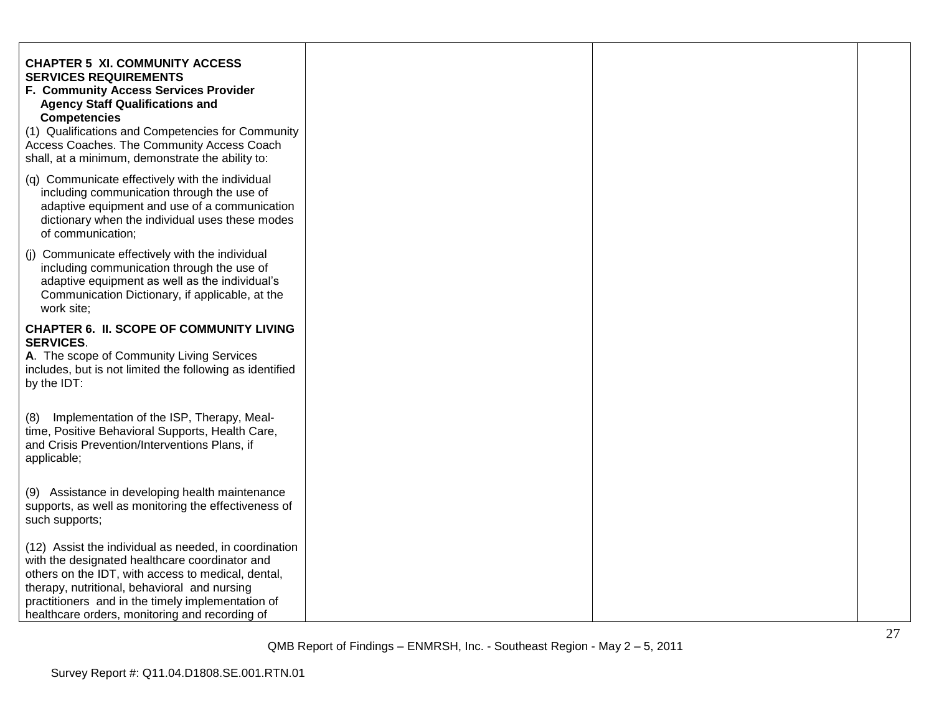| <b>CHAPTER 5 XI. COMMUNITY ACCESS</b><br><b>SERVICES REQUIREMENTS</b><br>F. Community Access Services Provider<br><b>Agency Staff Qualifications and</b><br><b>Competencies</b><br>(1) Qualifications and Competencies for Community<br>Access Coaches. The Community Access Coach<br>shall, at a minimum, demonstrate the ability to: |  |  |
|----------------------------------------------------------------------------------------------------------------------------------------------------------------------------------------------------------------------------------------------------------------------------------------------------------------------------------------|--|--|
| (q) Communicate effectively with the individual<br>including communication through the use of<br>adaptive equipment and use of a communication<br>dictionary when the individual uses these modes<br>of communication;                                                                                                                 |  |  |
| (j) Communicate effectively with the individual<br>including communication through the use of<br>adaptive equipment as well as the individual's<br>Communication Dictionary, if applicable, at the<br>work site;                                                                                                                       |  |  |
| <b>CHAPTER 6. II. SCOPE OF COMMUNITY LIVING</b><br><b>SERVICES.</b><br>A. The scope of Community Living Services<br>includes, but is not limited the following as identified<br>by the IDT:                                                                                                                                            |  |  |
| Implementation of the ISP, Therapy, Meal-<br>(8)<br>time, Positive Behavioral Supports, Health Care,<br>and Crisis Prevention/Interventions Plans, if<br>applicable;                                                                                                                                                                   |  |  |
| (9) Assistance in developing health maintenance<br>supports, as well as monitoring the effectiveness of<br>such supports;                                                                                                                                                                                                              |  |  |
| (12) Assist the individual as needed, in coordination<br>with the designated healthcare coordinator and<br>others on the IDT, with access to medical, dental,<br>therapy, nutritional, behavioral and nursing<br>practitioners and in the timely implementation of<br>healthcare orders, monitoring and recording of                   |  |  |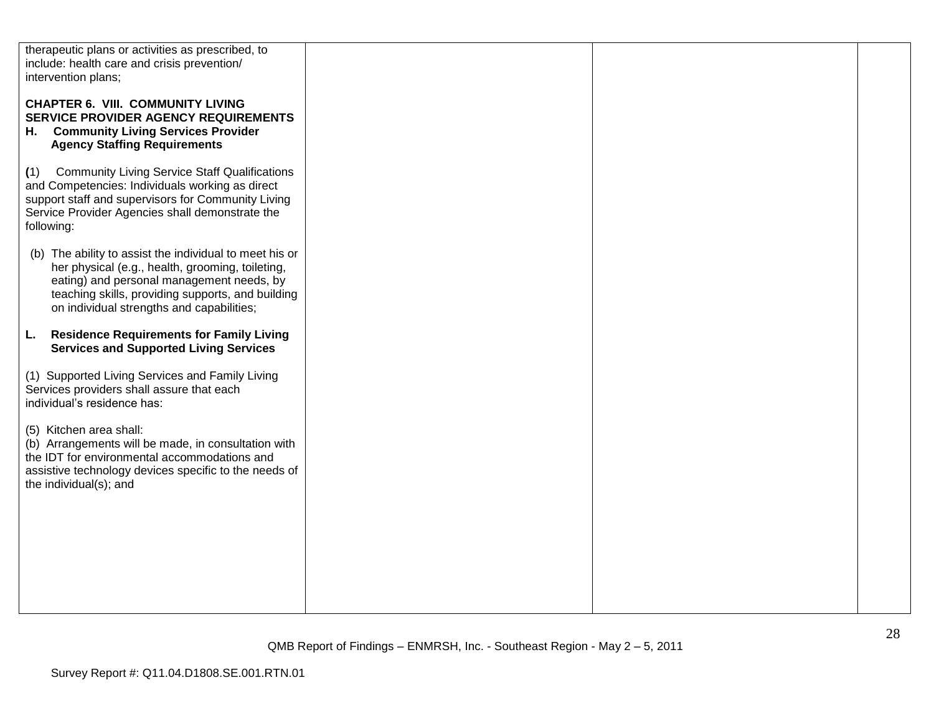| therapeutic plans or activities as prescribed, to<br>include: health care and crisis prevention/<br>intervention plans;                                                                                                                                    |  |  |
|------------------------------------------------------------------------------------------------------------------------------------------------------------------------------------------------------------------------------------------------------------|--|--|
| <b>CHAPTER 6. VIII. COMMUNITY LIVING</b><br><b>SERVICE PROVIDER AGENCY REQUIREMENTS</b><br>H. Community Living Services Provider<br><b>Agency Staffing Requirements</b>                                                                                    |  |  |
| <b>Community Living Service Staff Qualifications</b><br>(1)<br>and Competencies: Individuals working as direct<br>support staff and supervisors for Community Living<br>Service Provider Agencies shall demonstrate the<br>following:                      |  |  |
| (b) The ability to assist the individual to meet his or<br>her physical (e.g., health, grooming, toileting,<br>eating) and personal management needs, by<br>teaching skills, providing supports, and building<br>on individual strengths and capabilities; |  |  |
| <b>Residence Requirements for Family Living</b><br>L.<br><b>Services and Supported Living Services</b>                                                                                                                                                     |  |  |
| (1) Supported Living Services and Family Living<br>Services providers shall assure that each<br>individual's residence has:                                                                                                                                |  |  |
| (5) Kitchen area shall:<br>(b) Arrangements will be made, in consultation with<br>the IDT for environmental accommodations and<br>assistive technology devices specific to the needs of<br>the individual(s); and                                          |  |  |
|                                                                                                                                                                                                                                                            |  |  |
|                                                                                                                                                                                                                                                            |  |  |
|                                                                                                                                                                                                                                                            |  |  |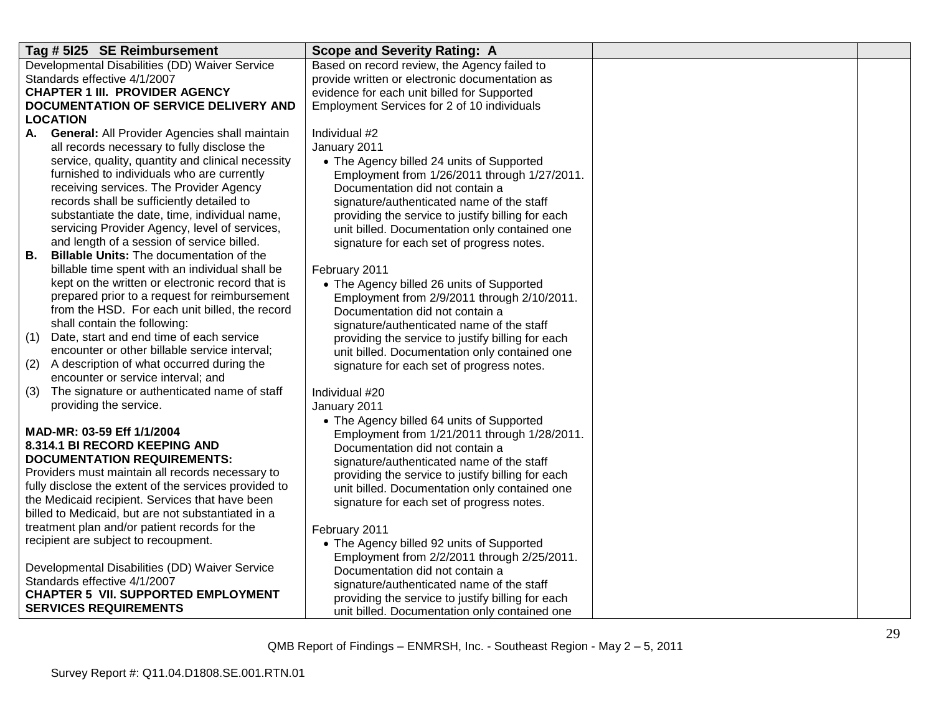| Developmental Disabilities (DD) Waiver Service<br>Based on record review, the Agency failed to<br>Standards effective 4/1/2007<br>provide written or electronic documentation as<br><b>CHAPTER 1 III. PROVIDER AGENCY</b><br>evidence for each unit billed for Supported<br>DOCUMENTATION OF SERVICE DELIVERY AND<br>Employment Services for 2 of 10 individuals<br><b>LOCATION</b><br>A. General: All Provider Agencies shall maintain<br>Individual #2<br>all records necessary to fully disclose the<br>January 2011<br>service, quality, quantity and clinical necessity<br>• The Agency billed 24 units of Supported<br>furnished to individuals who are currently<br>Employment from 1/26/2011 through 1/27/2011.<br>receiving services. The Provider Agency<br>Documentation did not contain a<br>records shall be sufficiently detailed to<br>signature/authenticated name of the staff<br>substantiate the date, time, individual name,<br>providing the service to justify billing for each<br>servicing Provider Agency, level of services,<br>unit billed. Documentation only contained one |
|---------------------------------------------------------------------------------------------------------------------------------------------------------------------------------------------------------------------------------------------------------------------------------------------------------------------------------------------------------------------------------------------------------------------------------------------------------------------------------------------------------------------------------------------------------------------------------------------------------------------------------------------------------------------------------------------------------------------------------------------------------------------------------------------------------------------------------------------------------------------------------------------------------------------------------------------------------------------------------------------------------------------------------------------------------------------------------------------------------|
|                                                                                                                                                                                                                                                                                                                                                                                                                                                                                                                                                                                                                                                                                                                                                                                                                                                                                                                                                                                                                                                                                                         |
|                                                                                                                                                                                                                                                                                                                                                                                                                                                                                                                                                                                                                                                                                                                                                                                                                                                                                                                                                                                                                                                                                                         |
|                                                                                                                                                                                                                                                                                                                                                                                                                                                                                                                                                                                                                                                                                                                                                                                                                                                                                                                                                                                                                                                                                                         |
|                                                                                                                                                                                                                                                                                                                                                                                                                                                                                                                                                                                                                                                                                                                                                                                                                                                                                                                                                                                                                                                                                                         |
|                                                                                                                                                                                                                                                                                                                                                                                                                                                                                                                                                                                                                                                                                                                                                                                                                                                                                                                                                                                                                                                                                                         |
|                                                                                                                                                                                                                                                                                                                                                                                                                                                                                                                                                                                                                                                                                                                                                                                                                                                                                                                                                                                                                                                                                                         |
|                                                                                                                                                                                                                                                                                                                                                                                                                                                                                                                                                                                                                                                                                                                                                                                                                                                                                                                                                                                                                                                                                                         |
|                                                                                                                                                                                                                                                                                                                                                                                                                                                                                                                                                                                                                                                                                                                                                                                                                                                                                                                                                                                                                                                                                                         |
|                                                                                                                                                                                                                                                                                                                                                                                                                                                                                                                                                                                                                                                                                                                                                                                                                                                                                                                                                                                                                                                                                                         |
|                                                                                                                                                                                                                                                                                                                                                                                                                                                                                                                                                                                                                                                                                                                                                                                                                                                                                                                                                                                                                                                                                                         |
|                                                                                                                                                                                                                                                                                                                                                                                                                                                                                                                                                                                                                                                                                                                                                                                                                                                                                                                                                                                                                                                                                                         |
|                                                                                                                                                                                                                                                                                                                                                                                                                                                                                                                                                                                                                                                                                                                                                                                                                                                                                                                                                                                                                                                                                                         |
|                                                                                                                                                                                                                                                                                                                                                                                                                                                                                                                                                                                                                                                                                                                                                                                                                                                                                                                                                                                                                                                                                                         |
| and length of a session of service billed.<br>signature for each set of progress notes.                                                                                                                                                                                                                                                                                                                                                                                                                                                                                                                                                                                                                                                                                                                                                                                                                                                                                                                                                                                                                 |
| <b>Billable Units: The documentation of the</b><br>В.                                                                                                                                                                                                                                                                                                                                                                                                                                                                                                                                                                                                                                                                                                                                                                                                                                                                                                                                                                                                                                                   |
| billable time spent with an individual shall be<br>February 2011                                                                                                                                                                                                                                                                                                                                                                                                                                                                                                                                                                                                                                                                                                                                                                                                                                                                                                                                                                                                                                        |
| kept on the written or electronic record that is<br>• The Agency billed 26 units of Supported                                                                                                                                                                                                                                                                                                                                                                                                                                                                                                                                                                                                                                                                                                                                                                                                                                                                                                                                                                                                           |
| prepared prior to a request for reimbursement<br>Employment from 2/9/2011 through 2/10/2011.<br>from the HSD. For each unit billed, the record                                                                                                                                                                                                                                                                                                                                                                                                                                                                                                                                                                                                                                                                                                                                                                                                                                                                                                                                                          |
| Documentation did not contain a<br>shall contain the following:                                                                                                                                                                                                                                                                                                                                                                                                                                                                                                                                                                                                                                                                                                                                                                                                                                                                                                                                                                                                                                         |
| signature/authenticated name of the staff<br>Date, start and end time of each service<br>(1)                                                                                                                                                                                                                                                                                                                                                                                                                                                                                                                                                                                                                                                                                                                                                                                                                                                                                                                                                                                                            |
| providing the service to justify billing for each<br>encounter or other billable service interval;<br>unit billed. Documentation only contained one                                                                                                                                                                                                                                                                                                                                                                                                                                                                                                                                                                                                                                                                                                                                                                                                                                                                                                                                                     |
| A description of what occurred during the<br>(2)<br>signature for each set of progress notes.                                                                                                                                                                                                                                                                                                                                                                                                                                                                                                                                                                                                                                                                                                                                                                                                                                                                                                                                                                                                           |
| encounter or service interval; and                                                                                                                                                                                                                                                                                                                                                                                                                                                                                                                                                                                                                                                                                                                                                                                                                                                                                                                                                                                                                                                                      |
| The signature or authenticated name of staff<br>(3)<br>Individual #20                                                                                                                                                                                                                                                                                                                                                                                                                                                                                                                                                                                                                                                                                                                                                                                                                                                                                                                                                                                                                                   |
| providing the service.<br>January 2011                                                                                                                                                                                                                                                                                                                                                                                                                                                                                                                                                                                                                                                                                                                                                                                                                                                                                                                                                                                                                                                                  |
| • The Agency billed 64 units of Supported                                                                                                                                                                                                                                                                                                                                                                                                                                                                                                                                                                                                                                                                                                                                                                                                                                                                                                                                                                                                                                                               |
| MAD-MR: 03-59 Eff 1/1/2004<br>Employment from 1/21/2011 through 1/28/2011.                                                                                                                                                                                                                                                                                                                                                                                                                                                                                                                                                                                                                                                                                                                                                                                                                                                                                                                                                                                                                              |
| 8.314.1 BI RECORD KEEPING AND<br>Documentation did not contain a                                                                                                                                                                                                                                                                                                                                                                                                                                                                                                                                                                                                                                                                                                                                                                                                                                                                                                                                                                                                                                        |
| <b>DOCUMENTATION REQUIREMENTS:</b><br>signature/authenticated name of the staff                                                                                                                                                                                                                                                                                                                                                                                                                                                                                                                                                                                                                                                                                                                                                                                                                                                                                                                                                                                                                         |
| Providers must maintain all records necessary to<br>providing the service to justify billing for each                                                                                                                                                                                                                                                                                                                                                                                                                                                                                                                                                                                                                                                                                                                                                                                                                                                                                                                                                                                                   |
| fully disclose the extent of the services provided to<br>unit billed. Documentation only contained one                                                                                                                                                                                                                                                                                                                                                                                                                                                                                                                                                                                                                                                                                                                                                                                                                                                                                                                                                                                                  |
| the Medicaid recipient. Services that have been<br>signature for each set of progress notes.                                                                                                                                                                                                                                                                                                                                                                                                                                                                                                                                                                                                                                                                                                                                                                                                                                                                                                                                                                                                            |
| billed to Medicaid, but are not substantiated in a                                                                                                                                                                                                                                                                                                                                                                                                                                                                                                                                                                                                                                                                                                                                                                                                                                                                                                                                                                                                                                                      |
| treatment plan and/or patient records for the<br>February 2011                                                                                                                                                                                                                                                                                                                                                                                                                                                                                                                                                                                                                                                                                                                                                                                                                                                                                                                                                                                                                                          |
| recipient are subject to recoupment.<br>• The Agency billed 92 units of Supported                                                                                                                                                                                                                                                                                                                                                                                                                                                                                                                                                                                                                                                                                                                                                                                                                                                                                                                                                                                                                       |
| Employment from 2/2/2011 through 2/25/2011.                                                                                                                                                                                                                                                                                                                                                                                                                                                                                                                                                                                                                                                                                                                                                                                                                                                                                                                                                                                                                                                             |
| Developmental Disabilities (DD) Waiver Service<br>Documentation did not contain a                                                                                                                                                                                                                                                                                                                                                                                                                                                                                                                                                                                                                                                                                                                                                                                                                                                                                                                                                                                                                       |
| Standards effective 4/1/2007<br>signature/authenticated name of the staff                                                                                                                                                                                                                                                                                                                                                                                                                                                                                                                                                                                                                                                                                                                                                                                                                                                                                                                                                                                                                               |
| <b>CHAPTER 5 VII. SUPPORTED EMPLOYMENT</b><br>providing the service to justify billing for each                                                                                                                                                                                                                                                                                                                                                                                                                                                                                                                                                                                                                                                                                                                                                                                                                                                                                                                                                                                                         |
| <b>SERVICES REQUIREMENTS</b><br>unit billed. Documentation only contained one                                                                                                                                                                                                                                                                                                                                                                                                                                                                                                                                                                                                                                                                                                                                                                                                                                                                                                                                                                                                                           |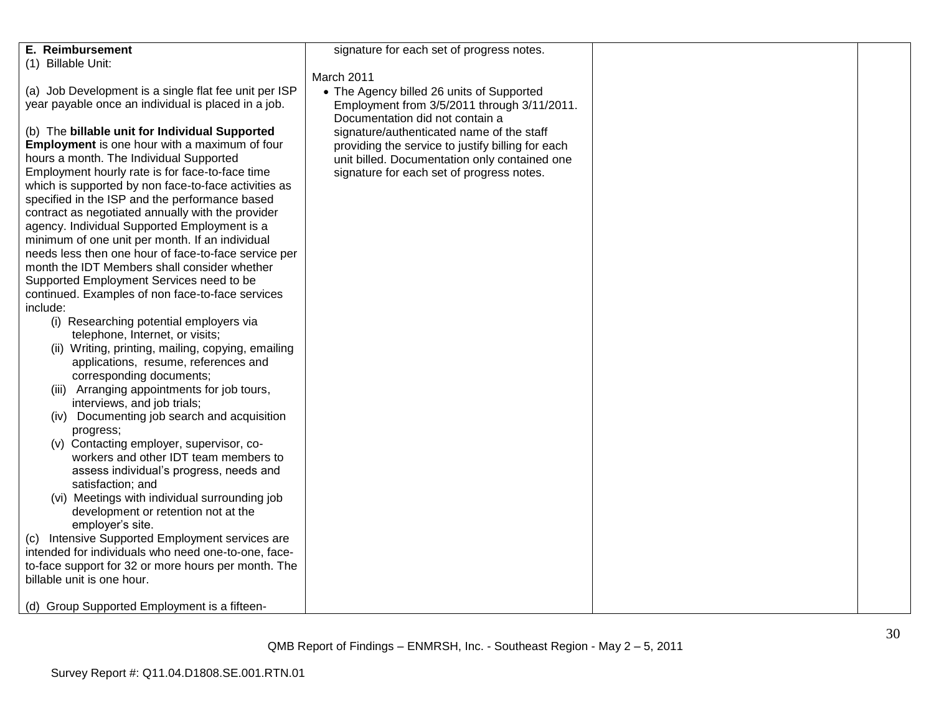| <b>E. Reimbursement</b>                                                                           | signature for each set of progress notes.         |  |
|---------------------------------------------------------------------------------------------------|---------------------------------------------------|--|
| (1) Billable Unit:                                                                                |                                                   |  |
|                                                                                                   | March 2011                                        |  |
| (a) Job Development is a single flat fee unit per ISP                                             | • The Agency billed 26 units of Supported         |  |
| year payable once an individual is placed in a job.                                               | Employment from 3/5/2011 through 3/11/2011.       |  |
|                                                                                                   | Documentation did not contain a                   |  |
| (b) The billable unit for Individual Supported                                                    | signature/authenticated name of the staff         |  |
| Employment is one hour with a maximum of four                                                     | providing the service to justify billing for each |  |
| hours a month. The Individual Supported                                                           | unit billed. Documentation only contained one     |  |
| Employment hourly rate is for face-to-face time                                                   | signature for each set of progress notes.         |  |
| which is supported by non face-to-face activities as                                              |                                                   |  |
| specified in the ISP and the performance based                                                    |                                                   |  |
| contract as negotiated annually with the provider<br>agency. Individual Supported Employment is a |                                                   |  |
| minimum of one unit per month. If an individual                                                   |                                                   |  |
| needs less then one hour of face-to-face service per                                              |                                                   |  |
| month the IDT Members shall consider whether                                                      |                                                   |  |
| Supported Employment Services need to be                                                          |                                                   |  |
| continued. Examples of non face-to-face services                                                  |                                                   |  |
| include:                                                                                          |                                                   |  |
| (i) Researching potential employers via                                                           |                                                   |  |
| telephone, Internet, or visits;                                                                   |                                                   |  |
| (ii) Writing, printing, mailing, copying, emailing                                                |                                                   |  |
| applications, resume, references and                                                              |                                                   |  |
| corresponding documents;                                                                          |                                                   |  |
| (iii) Arranging appointments for job tours,                                                       |                                                   |  |
| interviews, and job trials;                                                                       |                                                   |  |
| (iv) Documenting job search and acquisition                                                       |                                                   |  |
| progress;                                                                                         |                                                   |  |
| (v) Contacting employer, supervisor, co-                                                          |                                                   |  |
| workers and other IDT team members to                                                             |                                                   |  |
| assess individual's progress, needs and                                                           |                                                   |  |
| satisfaction; and                                                                                 |                                                   |  |
| (vi) Meetings with individual surrounding job                                                     |                                                   |  |
| development or retention not at the<br>employer's site.                                           |                                                   |  |
| (c) Intensive Supported Employment services are                                                   |                                                   |  |
| intended for individuals who need one-to-one, face-                                               |                                                   |  |
| to-face support for 32 or more hours per month. The                                               |                                                   |  |
| billable unit is one hour.                                                                        |                                                   |  |
|                                                                                                   |                                                   |  |
| (d) Group Supported Employment is a fifteen-                                                      |                                                   |  |
|                                                                                                   |                                                   |  |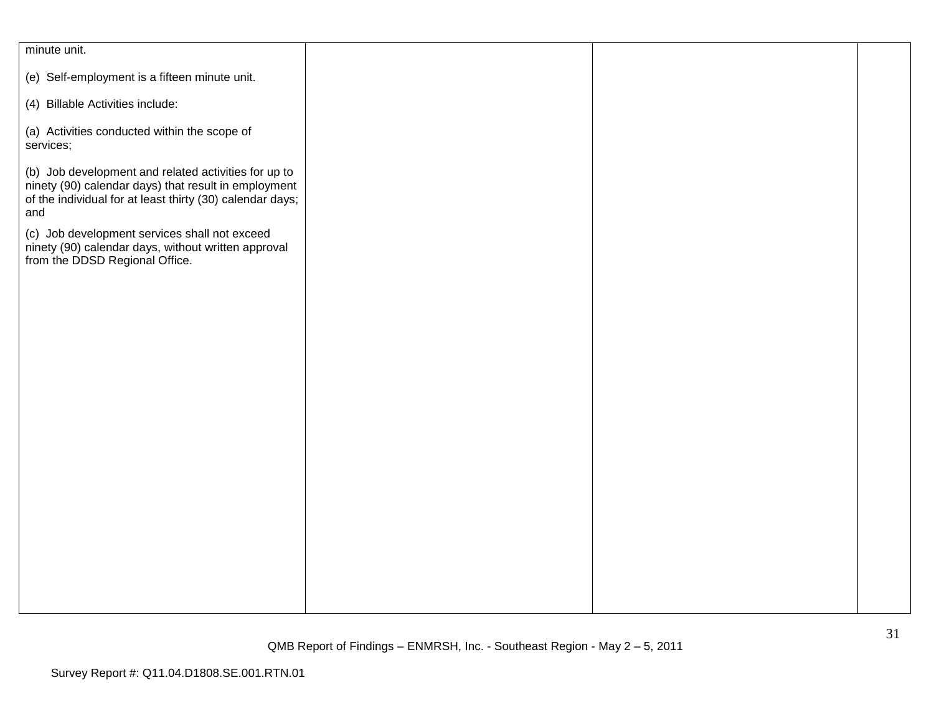| minute unit.                                                                                                                                                                     |  |  |
|----------------------------------------------------------------------------------------------------------------------------------------------------------------------------------|--|--|
| (e) Self-employment is a fifteen minute unit.                                                                                                                                    |  |  |
| (4) Billable Activities include:                                                                                                                                                 |  |  |
| (a) Activities conducted within the scope of<br>services;                                                                                                                        |  |  |
| (b) Job development and related activities for up to<br>ninety (90) calendar days) that result in employment<br>of the individual for at least thirty (30) calendar days;<br>and |  |  |
| (c) Job development services shall not exceed<br>ninety (90) calendar days, without written approval<br>from the DDSD Regional Office.                                           |  |  |
|                                                                                                                                                                                  |  |  |
|                                                                                                                                                                                  |  |  |
|                                                                                                                                                                                  |  |  |
|                                                                                                                                                                                  |  |  |
|                                                                                                                                                                                  |  |  |
|                                                                                                                                                                                  |  |  |
|                                                                                                                                                                                  |  |  |
|                                                                                                                                                                                  |  |  |
|                                                                                                                                                                                  |  |  |
|                                                                                                                                                                                  |  |  |
|                                                                                                                                                                                  |  |  |
|                                                                                                                                                                                  |  |  |
|                                                                                                                                                                                  |  |  |
|                                                                                                                                                                                  |  |  |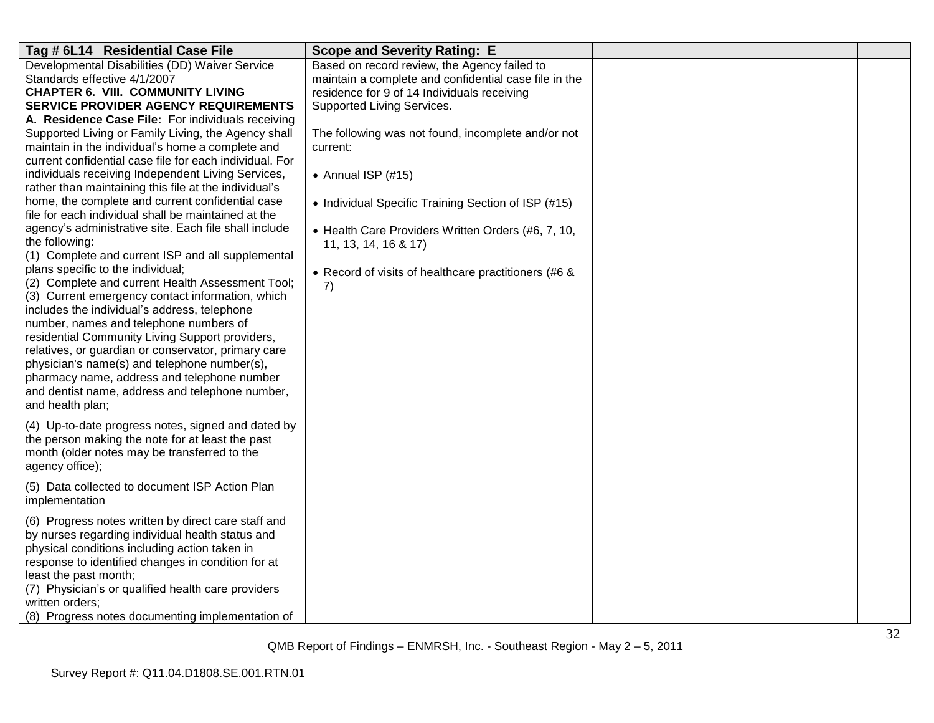| Tag # 6L14 Residential Case File                                                                        | <b>Scope and Severity Rating: E</b>                   |  |
|---------------------------------------------------------------------------------------------------------|-------------------------------------------------------|--|
| Developmental Disabilities (DD) Waiver Service                                                          | Based on record review, the Agency failed to          |  |
| Standards effective 4/1/2007                                                                            | maintain a complete and confidential case file in the |  |
| <b>CHAPTER 6. VIII. COMMUNITY LIVING</b>                                                                | residence for 9 of 14 Individuals receiving           |  |
| SERVICE PROVIDER AGENCY REQUIREMENTS                                                                    | Supported Living Services.                            |  |
| A. Residence Case File: For individuals receiving                                                       |                                                       |  |
| Supported Living or Family Living, the Agency shall                                                     | The following was not found, incomplete and/or not    |  |
| maintain in the individual's home a complete and                                                        | current:                                              |  |
| current confidential case file for each individual. For                                                 |                                                       |  |
| individuals receiving Independent Living Services,                                                      | • Annual ISP $(\#15)$                                 |  |
| rather than maintaining this file at the individual's                                                   |                                                       |  |
| home, the complete and current confidential case<br>file for each individual shall be maintained at the | • Individual Specific Training Section of ISP (#15)   |  |
| agency's administrative site. Each file shall include                                                   | • Health Care Providers Written Orders (#6, 7, 10,    |  |
| the following:                                                                                          | 11, 13, 14, 16 & 17)                                  |  |
| (1) Complete and current ISP and all supplemental                                                       |                                                       |  |
| plans specific to the individual;                                                                       | • Record of visits of healthcare practitioners (#6 &  |  |
| (2) Complete and current Health Assessment Tool;                                                        | 7)                                                    |  |
| (3) Current emergency contact information, which                                                        |                                                       |  |
| includes the individual's address, telephone                                                            |                                                       |  |
| number, names and telephone numbers of                                                                  |                                                       |  |
| residential Community Living Support providers,                                                         |                                                       |  |
| relatives, or guardian or conservator, primary care                                                     |                                                       |  |
| physician's name(s) and telephone number(s),                                                            |                                                       |  |
| pharmacy name, address and telephone number                                                             |                                                       |  |
| and dentist name, address and telephone number,                                                         |                                                       |  |
| and health plan;                                                                                        |                                                       |  |
| (4) Up-to-date progress notes, signed and dated by                                                      |                                                       |  |
| the person making the note for at least the past                                                        |                                                       |  |
| month (older notes may be transferred to the                                                            |                                                       |  |
| agency office);                                                                                         |                                                       |  |
| (5) Data collected to document ISP Action Plan                                                          |                                                       |  |
| implementation                                                                                          |                                                       |  |
| (6) Progress notes written by direct care staff and                                                     |                                                       |  |
| by nurses regarding individual health status and                                                        |                                                       |  |
| physical conditions including action taken in                                                           |                                                       |  |
| response to identified changes in condition for at                                                      |                                                       |  |
| least the past month;                                                                                   |                                                       |  |
| (7) Physician's or qualified health care providers                                                      |                                                       |  |
| written orders;                                                                                         |                                                       |  |
| (8) Progress notes documenting implementation of                                                        |                                                       |  |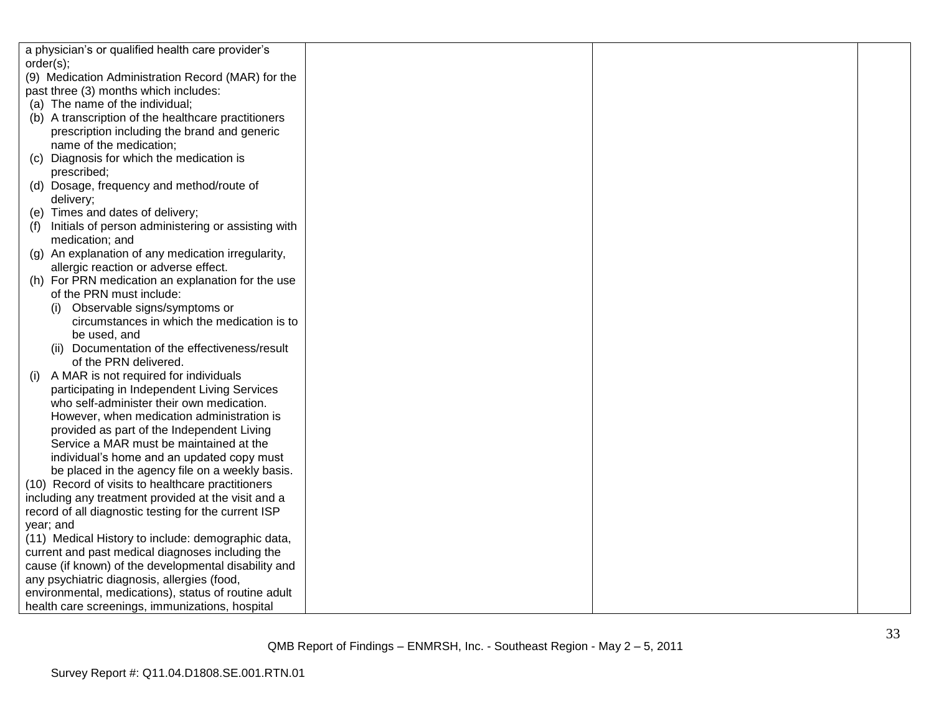| a physician's or qualified health care provider's    |  |  |
|------------------------------------------------------|--|--|
| order(s);                                            |  |  |
| (9) Medication Administration Record (MAR) for the   |  |  |
| past three (3) months which includes:                |  |  |
| (a) The name of the individual;                      |  |  |
| (b) A transcription of the healthcare practitioners  |  |  |
| prescription including the brand and generic         |  |  |
| name of the medication;                              |  |  |
| Diagnosis for which the medication is<br>(C)         |  |  |
| prescribed;                                          |  |  |
| (d) Dosage, frequency and method/route of            |  |  |
| delivery;                                            |  |  |
| (e) Times and dates of delivery;                     |  |  |
| Initials of person administering or assisting with   |  |  |
| medication; and                                      |  |  |
| (g) An explanation of any medication irregularity,   |  |  |
| allergic reaction or adverse effect.                 |  |  |
| (h) For PRN medication an explanation for the use    |  |  |
| of the PRN must include:                             |  |  |
| (i) Observable signs/symptoms or                     |  |  |
| circumstances in which the medication is to          |  |  |
| be used, and                                         |  |  |
| (ii) Documentation of the effectiveness/result       |  |  |
| of the PRN delivered.                                |  |  |
| A MAR is not required for individuals<br>(1)         |  |  |
| participating in Independent Living Services         |  |  |
| who self-administer their own medication.            |  |  |
| However, when medication administration is           |  |  |
| provided as part of the Independent Living           |  |  |
| Service a MAR must be maintained at the              |  |  |
| individual's home and an updated copy must           |  |  |
| be placed in the agency file on a weekly basis.      |  |  |
| (10) Record of visits to healthcare practitioners    |  |  |
| including any treatment provided at the visit and a  |  |  |
| record of all diagnostic testing for the current ISP |  |  |
| year; and                                            |  |  |
| (11) Medical History to include: demographic data,   |  |  |
| current and past medical diagnoses including the     |  |  |
| cause (if known) of the developmental disability and |  |  |
| any psychiatric diagnosis, allergies (food,          |  |  |
| environmental, medications), status of routine adult |  |  |
| health care screenings, immunizations, hospital      |  |  |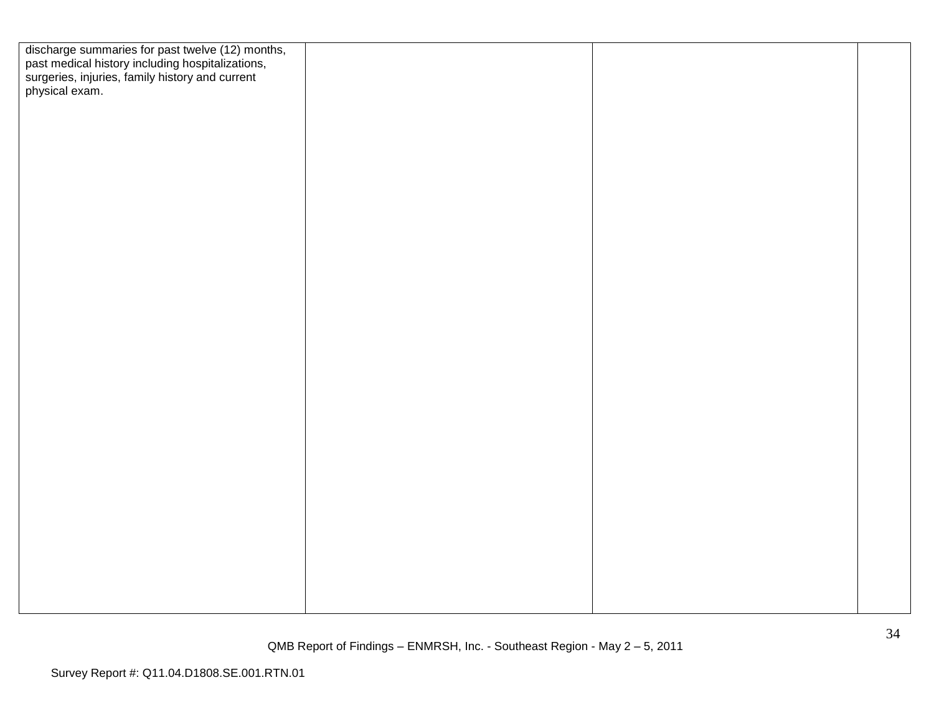| discharge summaries for past twelve (12) months,<br>past medical history including hospitalizations,<br>surgeries, injuries, family history and current<br>physical exam. |  |  |
|---------------------------------------------------------------------------------------------------------------------------------------------------------------------------|--|--|
|                                                                                                                                                                           |  |  |
|                                                                                                                                                                           |  |  |
|                                                                                                                                                                           |  |  |
|                                                                                                                                                                           |  |  |
|                                                                                                                                                                           |  |  |
|                                                                                                                                                                           |  |  |
|                                                                                                                                                                           |  |  |
|                                                                                                                                                                           |  |  |
|                                                                                                                                                                           |  |  |
|                                                                                                                                                                           |  |  |
|                                                                                                                                                                           |  |  |
|                                                                                                                                                                           |  |  |
|                                                                                                                                                                           |  |  |
|                                                                                                                                                                           |  |  |
|                                                                                                                                                                           |  |  |
|                                                                                                                                                                           |  |  |
|                                                                                                                                                                           |  |  |
|                                                                                                                                                                           |  |  |
|                                                                                                                                                                           |  |  |
|                                                                                                                                                                           |  |  |
|                                                                                                                                                                           |  |  |
|                                                                                                                                                                           |  |  |
|                                                                                                                                                                           |  |  |
|                                                                                                                                                                           |  |  |
|                                                                                                                                                                           |  |  |
|                                                                                                                                                                           |  |  |
|                                                                                                                                                                           |  |  |
|                                                                                                                                                                           |  |  |
|                                                                                                                                                                           |  |  |
|                                                                                                                                                                           |  |  |
|                                                                                                                                                                           |  |  |
|                                                                                                                                                                           |  |  |
|                                                                                                                                                                           |  |  |
|                                                                                                                                                                           |  |  |
|                                                                                                                                                                           |  |  |
|                                                                                                                                                                           |  |  |
|                                                                                                                                                                           |  |  |
|                                                                                                                                                                           |  |  |
|                                                                                                                                                                           |  |  |
|                                                                                                                                                                           |  |  |
|                                                                                                                                                                           |  |  |
|                                                                                                                                                                           |  |  |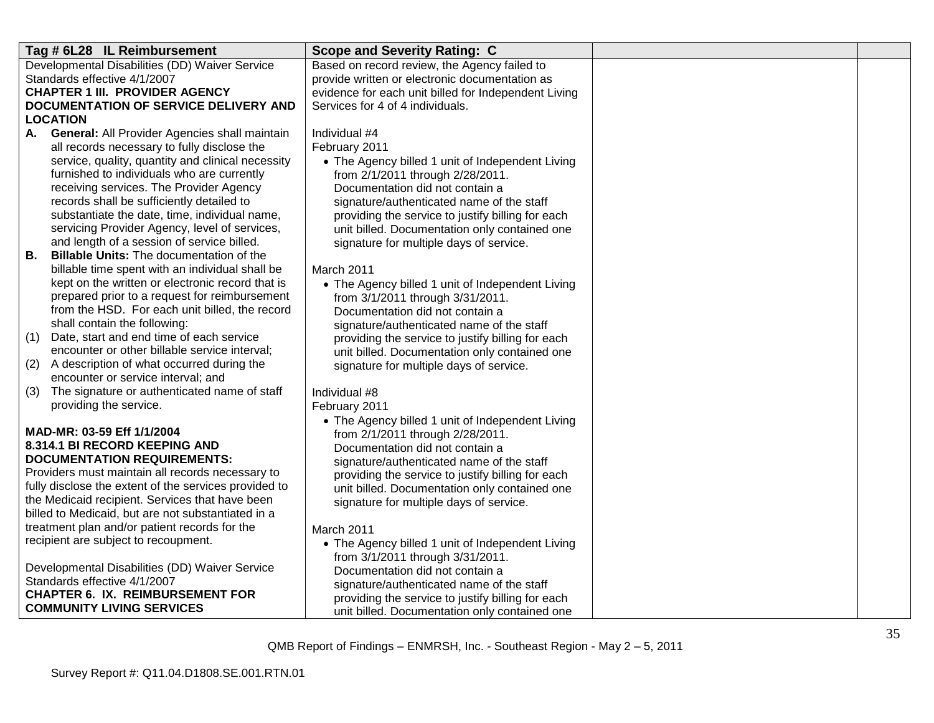| Tag # 6L28 IL Reimbursement                                                                      | <b>Scope and Severity Rating: C</b>                  |  |
|--------------------------------------------------------------------------------------------------|------------------------------------------------------|--|
| Developmental Disabilities (DD) Waiver Service                                                   | Based on record review, the Agency failed to         |  |
| Standards effective 4/1/2007                                                                     | provide written or electronic documentation as       |  |
| <b>CHAPTER 1 III. PROVIDER AGENCY</b>                                                            | evidence for each unit billed for Independent Living |  |
| DOCUMENTATION OF SERVICE DELIVERY AND                                                            | Services for 4 of 4 individuals.                     |  |
| LOCATION                                                                                         |                                                      |  |
| <b>General: All Provider Agencies shall maintain</b><br>A.                                       | Individual #4                                        |  |
| all records necessary to fully disclose the                                                      | February 2011                                        |  |
| service, quality, quantity and clinical necessity                                                | • The Agency billed 1 unit of Independent Living     |  |
| furnished to individuals who are currently                                                       | from 2/1/2011 through 2/28/2011.                     |  |
| receiving services. The Provider Agency                                                          | Documentation did not contain a                      |  |
| records shall be sufficiently detailed to                                                        | signature/authenticated name of the staff            |  |
| substantiate the date, time, individual name,                                                    | providing the service to justify billing for each    |  |
| servicing Provider Agency, level of services,                                                    | unit billed. Documentation only contained one        |  |
| and length of a session of service billed.                                                       | signature for multiple days of service.              |  |
| <b>Billable Units: The documentation of the</b><br>В.                                            |                                                      |  |
| billable time spent with an individual shall be                                                  | March 2011                                           |  |
| kept on the written or electronic record that is                                                 | • The Agency billed 1 unit of Independent Living     |  |
| prepared prior to a request for reimbursement                                                    | from 3/1/2011 through 3/31/2011.                     |  |
| from the HSD. For each unit billed, the record                                                   | Documentation did not contain a                      |  |
| shall contain the following:                                                                     | signature/authenticated name of the staff            |  |
| Date, start and end time of each service<br>(1)<br>encounter or other billable service interval; | providing the service to justify billing for each    |  |
| A description of what occurred during the                                                        | unit billed. Documentation only contained one        |  |
| (2)<br>encounter or service interval; and                                                        | signature for multiple days of service.              |  |
| The signature or authenticated name of staff<br>(3)                                              | Individual #8                                        |  |
| providing the service.                                                                           | February 2011                                        |  |
|                                                                                                  | • The Agency billed 1 unit of Independent Living     |  |
| MAD-MR: 03-59 Eff 1/1/2004                                                                       | from 2/1/2011 through 2/28/2011.                     |  |
| 8.314.1 BI RECORD KEEPING AND                                                                    | Documentation did not contain a                      |  |
| <b>DOCUMENTATION REQUIREMENTS:</b>                                                               | signature/authenticated name of the staff            |  |
| Providers must maintain all records necessary to                                                 | providing the service to justify billing for each    |  |
| fully disclose the extent of the services provided to                                            | unit billed. Documentation only contained one        |  |
| the Medicaid recipient. Services that have been                                                  | signature for multiple days of service.              |  |
| billed to Medicaid, but are not substantiated in a                                               |                                                      |  |
| treatment plan and/or patient records for the                                                    | March 2011                                           |  |
| recipient are subject to recoupment.                                                             | • The Agency billed 1 unit of Independent Living     |  |
|                                                                                                  | from 3/1/2011 through 3/31/2011.                     |  |
| Developmental Disabilities (DD) Waiver Service                                                   | Documentation did not contain a                      |  |
| Standards effective 4/1/2007                                                                     | signature/authenticated name of the staff            |  |
| <b>CHAPTER 6. IX. REIMBURSEMENT FOR</b>                                                          | providing the service to justify billing for each    |  |
| <b>COMMUNITY LIVING SERVICES</b>                                                                 | unit billed. Documentation only contained one        |  |
|                                                                                                  |                                                      |  |